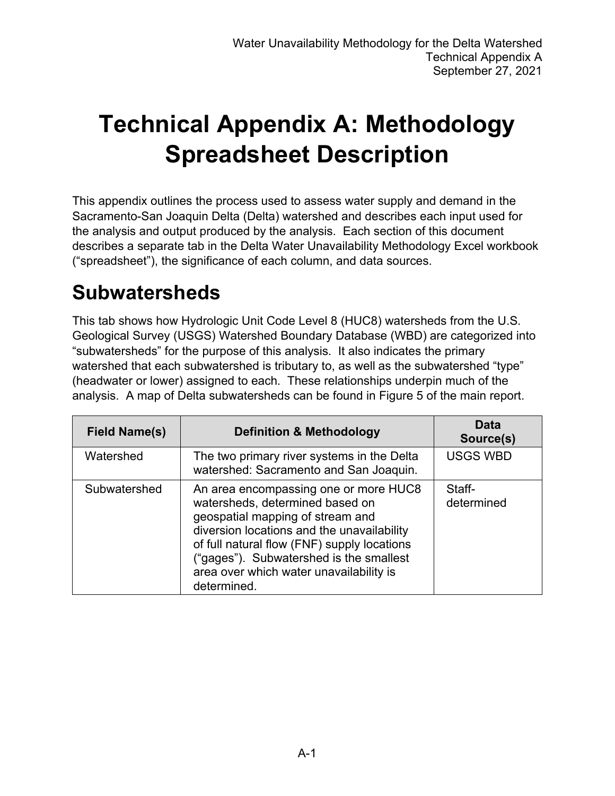# **Technical Appendix A: Methodology Spreadsheet Description**

This appendix outlines the process used to assess water supply and demand in the Sacramento-San Joaquin Delta (Delta) watershed and describes each input used for the analysis and output produced by the analysis. Each section of this document describes a separate tab in the Delta Water Unavailability Methodology Excel workbook ("spreadsheet"), the significance of each column, and data sources.

#### **Subwatersheds**

This tab shows how Hydrologic Unit Code Level 8 (HUC8) watersheds from the U.S. Geological Survey (USGS) Watershed Boundary Database (WBD) are categorized into "subwatersheds" for the purpose of this analysis. It also indicates the primary watershed that each subwatershed is tributary to, as well as the subwatershed "type" (headwater or lower) assigned to each. These relationships underpin much of the analysis. A map of Delta subwatersheds can be found in Figure 5 of the main report.

| <b>Field Name(s)</b> | <b>Definition &amp; Methodology</b>                                                                                                                                                                                                                                                                            | Data<br>Source(s)    |
|----------------------|----------------------------------------------------------------------------------------------------------------------------------------------------------------------------------------------------------------------------------------------------------------------------------------------------------------|----------------------|
| Watershed            | The two primary river systems in the Delta<br>watershed: Sacramento and San Joaquin.                                                                                                                                                                                                                           | <b>USGS WBD</b>      |
| Subwatershed         | An area encompassing one or more HUC8<br>watersheds, determined based on<br>geospatial mapping of stream and<br>diversion locations and the unavailability<br>of full natural flow (FNF) supply locations<br>("gages"). Subwatershed is the smallest<br>area over which water unavailability is<br>determined. | Staff-<br>determined |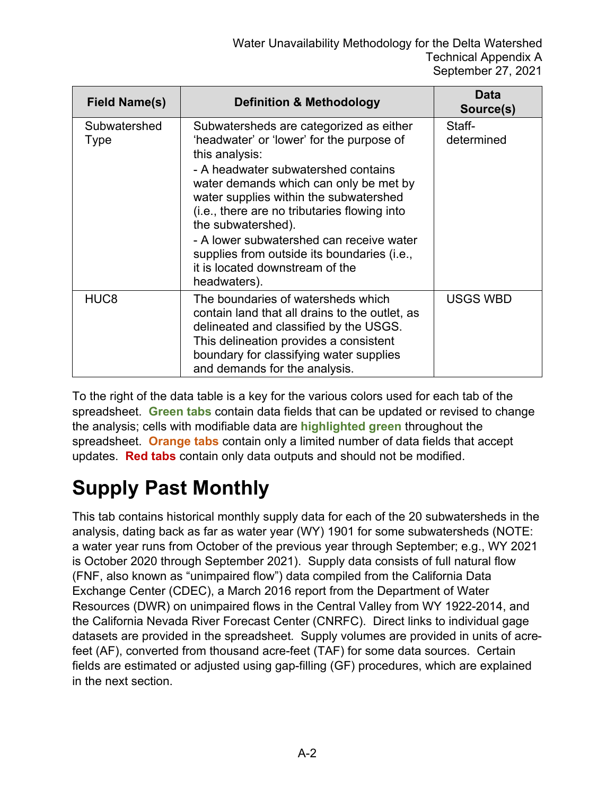| Field Name(s)        | <b>Definition &amp; Methodology</b>                                                                                                                                                                                                                                                                                                                                                                                                                   | Data<br>Source(s)    |
|----------------------|-------------------------------------------------------------------------------------------------------------------------------------------------------------------------------------------------------------------------------------------------------------------------------------------------------------------------------------------------------------------------------------------------------------------------------------------------------|----------------------|
| Subwatershed<br>Type | Subwatersheds are categorized as either<br>'headwater' or 'lower' for the purpose of<br>this analysis:<br>- A headwater subwatershed contains<br>water demands which can only be met by<br>water supplies within the subwatershed<br>(i.e., there are no tributaries flowing into<br>the subwatershed).<br>- A lower subwatershed can receive water<br>supplies from outside its boundaries (i.e.,<br>it is located downstream of the<br>headwaters). | Staff-<br>determined |
| HUC <sub>8</sub>     | The boundaries of watersheds which<br>contain land that all drains to the outlet, as<br>delineated and classified by the USGS.<br>This delineation provides a consistent<br>boundary for classifying water supplies<br>and demands for the analysis.                                                                                                                                                                                                  | <b>USGS WBD</b>      |

To the right of the data table is a key for the various colors used for each tab of the spreadsheet. **Green tabs** contain data fields that can be updated or revised to change the analysis; cells with modifiable data are **highlighted green** throughout the spreadsheet. **Orange tabs** contain only a limited number of data fields that accept updates. **Red tabs** contain only data outputs and should not be modified.

## **Supply Past Monthly**

This tab contains historical monthly supply data for each of the 20 subwatersheds in the analysis, dating back as far as water year (WY) 1901 for some subwatersheds (NOTE: a water year runs from October of the previous year through September; e.g., WY 2021 is October 2020 through September 2021). Supply data consists of full natural flow (FNF, also known as "unimpaired flow") data compiled from the California Data Exchange Center (CDEC), a March 2016 report from the Department of Water Resources (DWR) on unimpaired flows in the Central Valley from WY 1922-2014, and the California Nevada River Forecast Center (CNRFC). Direct links to individual gage datasets are provided in the spreadsheet. Supply volumes are provided in units of acrefeet (AF), converted from thousand acre-feet (TAF) for some data sources. Certain fields are estimated or adjusted using gap-filling (GF) procedures, which are explained in the next section.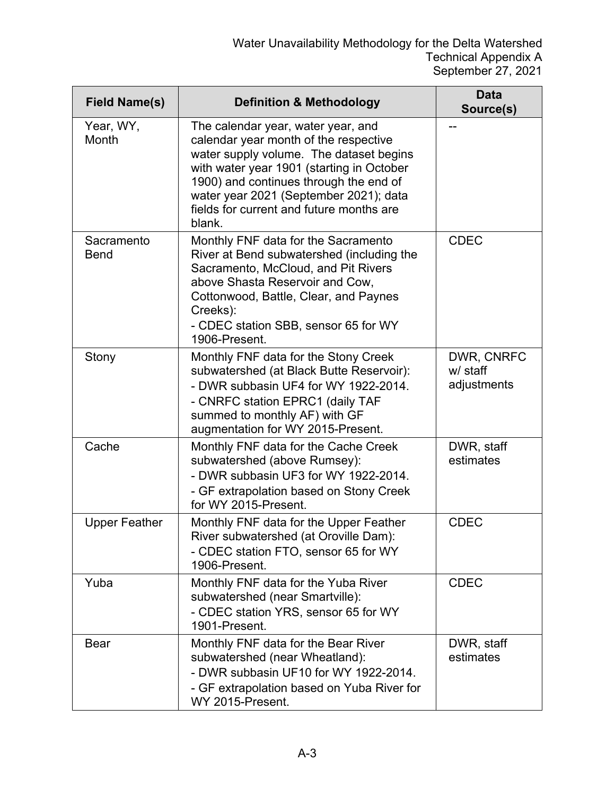| <b>Field Name(s)</b>      | <b>Definition &amp; Methodology</b>                                                                                                                                                                                                                                                                           | Data<br>Source(s)                     |
|---------------------------|---------------------------------------------------------------------------------------------------------------------------------------------------------------------------------------------------------------------------------------------------------------------------------------------------------------|---------------------------------------|
| Year, WY,<br>Month        | The calendar year, water year, and<br>calendar year month of the respective<br>water supply volume. The dataset begins<br>with water year 1901 (starting in October<br>1900) and continues through the end of<br>water year 2021 (September 2021); data<br>fields for current and future months are<br>blank. |                                       |
| Sacramento<br><b>Bend</b> | Monthly FNF data for the Sacramento<br>River at Bend subwatershed (including the<br>Sacramento, McCloud, and Pit Rivers<br>above Shasta Reservoir and Cow,<br>Cottonwood, Battle, Clear, and Paynes<br>Creeks):<br>- CDEC station SBB, sensor 65 for WY<br>1906-Present.                                      | <b>CDEC</b>                           |
| Stony                     | Monthly FNF data for the Stony Creek<br>subwatershed (at Black Butte Reservoir):<br>- DWR subbasin UF4 for WY 1922-2014.<br>- CNRFC station EPRC1 (daily TAF<br>summed to monthly AF) with GF<br>augmentation for WY 2015-Present.                                                                            | DWR, CNRFC<br>w/ staff<br>adjustments |
| Cache                     | Monthly FNF data for the Cache Creek<br>subwatershed (above Rumsey):<br>- DWR subbasin UF3 for WY 1922-2014.<br>- GF extrapolation based on Stony Creek<br>for WY 2015-Present.                                                                                                                               | DWR, staff<br>estimates               |
| <b>Upper Feather</b>      | Monthly FNF data for the Upper Feather<br>River subwatershed (at Oroville Dam):<br>- CDEC station FTO, sensor 65 for WY<br>1906-Present.                                                                                                                                                                      | <b>CDEC</b>                           |
| Yuba                      | Monthly FNF data for the Yuba River<br>subwatershed (near Smartville):<br>- CDEC station YRS, sensor 65 for WY<br>1901-Present.                                                                                                                                                                               | <b>CDEC</b>                           |
| <b>Bear</b>               | Monthly FNF data for the Bear River<br>subwatershed (near Wheatland):<br>- DWR subbasin UF10 for WY 1922-2014.<br>- GF extrapolation based on Yuba River for<br>WY 2015-Present.                                                                                                                              | DWR, staff<br>estimates               |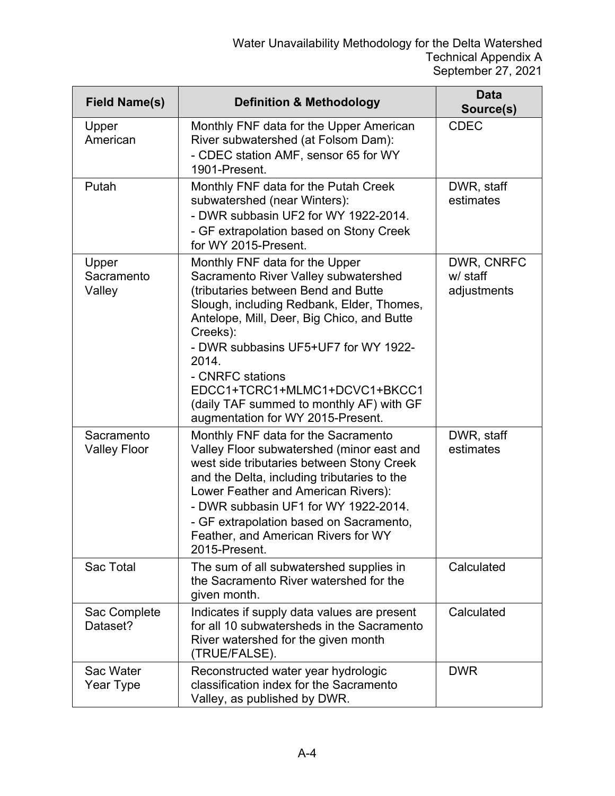| <b>Field Name(s)</b>              | <b>Definition &amp; Methodology</b>                                                                                                                                                                                                                                                                                                                                                                         | <b>Data</b><br>Source(s)              |
|-----------------------------------|-------------------------------------------------------------------------------------------------------------------------------------------------------------------------------------------------------------------------------------------------------------------------------------------------------------------------------------------------------------------------------------------------------------|---------------------------------------|
| Upper<br>American                 | Monthly FNF data for the Upper American<br>River subwatershed (at Folsom Dam):<br>- CDEC station AMF, sensor 65 for WY<br>1901-Present.                                                                                                                                                                                                                                                                     | <b>CDEC</b>                           |
| Putah                             | Monthly FNF data for the Putah Creek<br>subwatershed (near Winters):<br>- DWR subbasin UF2 for WY 1922-2014.<br>- GF extrapolation based on Stony Creek<br>for WY 2015-Present.                                                                                                                                                                                                                             | DWR, staff<br>estimates               |
| Upper<br>Sacramento<br>Valley     | Monthly FNF data for the Upper<br>Sacramento River Valley subwatershed<br>(tributaries between Bend and Butte<br>Slough, including Redbank, Elder, Thomes,<br>Antelope, Mill, Deer, Big Chico, and Butte<br>Creeks):<br>- DWR subbasins UF5+UF7 for WY 1922-<br>2014.<br>- CNRFC stations<br>EDCC1+TCRC1+MLMC1+DCVC1+BKCC1<br>(daily TAF summed to monthly AF) with GF<br>augmentation for WY 2015-Present. | DWR, CNRFC<br>w/ staff<br>adjustments |
| Sacramento<br><b>Valley Floor</b> | Monthly FNF data for the Sacramento<br>Valley Floor subwatershed (minor east and<br>west side tributaries between Stony Creek<br>and the Delta, including tributaries to the<br>Lower Feather and American Rivers):<br>- DWR subbasin UF1 for WY 1922-2014.<br>- GF extrapolation based on Sacramento,<br>Feather, and American Rivers for WY<br>2015-Present.                                              | DWR, staff<br>estimates               |
| Sac Total                         | The sum of all subwatershed supplies in<br>the Sacramento River watershed for the<br>given month.                                                                                                                                                                                                                                                                                                           | Calculated                            |
| Sac Complete<br>Dataset?          | Indicates if supply data values are present<br>for all 10 subwatersheds in the Sacramento<br>River watershed for the given month<br>(TRUE/FALSE).                                                                                                                                                                                                                                                           | Calculated                            |
| Sac Water<br>Year Type            | Reconstructed water year hydrologic<br>classification index for the Sacramento<br>Valley, as published by DWR.                                                                                                                                                                                                                                                                                              | <b>DWR</b>                            |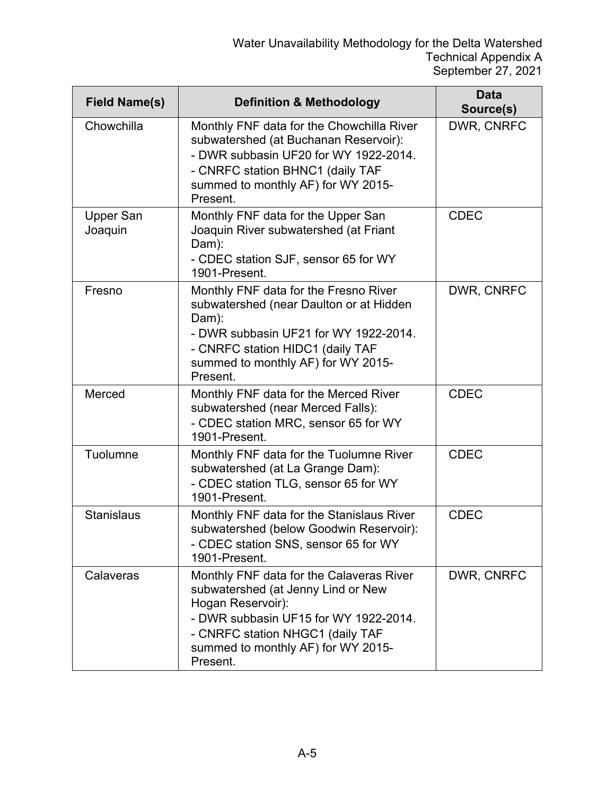| <b>Field Name(s)</b>        | <b>Definition &amp; Methodology</b>                                                                                                                                                                                                | Data<br>Source(s) |
|-----------------------------|------------------------------------------------------------------------------------------------------------------------------------------------------------------------------------------------------------------------------------|-------------------|
| Chowchilla                  | Monthly FNF data for the Chowchilla River<br>subwatershed (at Buchanan Reservoir):<br>- DWR subbasin UF20 for WY 1922-2014.<br>- CNRFC station BHNC1 (daily TAF<br>summed to monthly AF) for WY 2015-<br>Present.                  | DWR, CNRFC        |
| <b>Upper San</b><br>Joaquin | Monthly FNF data for the Upper San<br>Joaquin River subwatershed (at Friant<br>Dam):<br>- CDEC station SJF, sensor 65 for WY<br>1901-Present.                                                                                      | <b>CDEC</b>       |
| Fresno                      | Monthly FNF data for the Fresno River<br>subwatershed (near Daulton or at Hidden<br>Dam):<br>- DWR subbasin UF21 for WY 1922-2014.<br>- CNRFC station HIDC1 (daily TAF<br>summed to monthly AF) for WY 2015-<br>Present.           | DWR, CNRFC        |
| Merced                      | Monthly FNF data for the Merced River<br>subwatershed (near Merced Falls):<br>- CDEC station MRC, sensor 65 for WY<br>1901-Present.                                                                                                | <b>CDEC</b>       |
| Tuolumne                    | Monthly FNF data for the Tuolumne River<br>subwatershed (at La Grange Dam):<br>- CDEC station TLG, sensor 65 for WY<br>1901-Present.                                                                                               | <b>CDEC</b>       |
| <b>Stanislaus</b>           | Monthly FNF data for the Stanislaus River<br>subwatershed (below Goodwin Reservoir):<br>- CDEC station SNS, sensor 65 for WY<br>1901-Present.                                                                                      | <b>CDEC</b>       |
| Calaveras                   | Monthly FNF data for the Calaveras River<br>subwatershed (at Jenny Lind or New<br>Hogan Reservoir):<br>- DWR subbasin UF15 for WY 1922-2014.<br>- CNRFC station NHGC1 (daily TAF<br>summed to monthly AF) for WY 2015-<br>Present. | DWR, CNRFC        |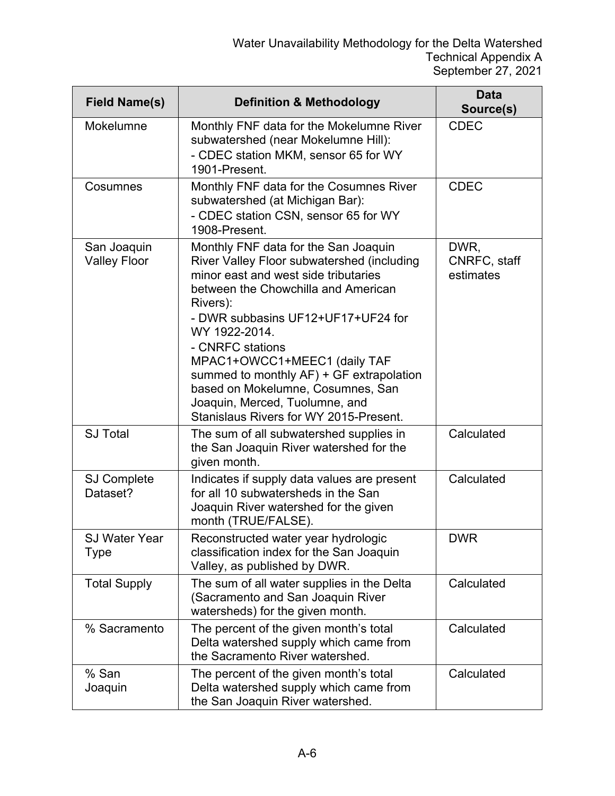| <b>Field Name(s)</b>               | <b>Definition &amp; Methodology</b>                                                                                                                                                                                                                                                                                                                                                                                                                   | <b>Data</b><br>Source(s)          |
|------------------------------------|-------------------------------------------------------------------------------------------------------------------------------------------------------------------------------------------------------------------------------------------------------------------------------------------------------------------------------------------------------------------------------------------------------------------------------------------------------|-----------------------------------|
| Mokelumne                          | Monthly FNF data for the Mokelumne River<br>subwatershed (near Mokelumne Hill):<br>- CDEC station MKM, sensor 65 for WY<br>1901-Present.                                                                                                                                                                                                                                                                                                              | <b>CDEC</b>                       |
| Cosumnes                           | Monthly FNF data for the Cosumnes River<br>subwatershed (at Michigan Bar):<br>- CDEC station CSN, sensor 65 for WY<br>1908-Present.                                                                                                                                                                                                                                                                                                                   | <b>CDEC</b>                       |
| San Joaquin<br><b>Valley Floor</b> | Monthly FNF data for the San Joaquin<br>River Valley Floor subwatershed (including<br>minor east and west side tributaries<br>between the Chowchilla and American<br>Rivers):<br>- DWR subbasins UF12+UF17+UF24 for<br>WY 1922-2014.<br>- CNRFC stations<br>MPAC1+OWCC1+MEEC1 (daily TAF<br>summed to monthly AF) + GF extrapolation<br>based on Mokelumne, Cosumnes, San<br>Joaquin, Merced, Tuolumne, and<br>Stanislaus Rivers for WY 2015-Present. | DWR,<br>CNRFC, staff<br>estimates |
| <b>SJ Total</b>                    | The sum of all subwatershed supplies in<br>the San Joaquin River watershed for the<br>given month.                                                                                                                                                                                                                                                                                                                                                    | Calculated                        |
| <b>SJ Complete</b><br>Dataset?     | Indicates if supply data values are present<br>for all 10 subwatersheds in the San<br>Joaquin River watershed for the given<br>month (TRUE/FALSE).                                                                                                                                                                                                                                                                                                    | Calculated                        |
| <b>SJ Water Year</b><br>Type       | Reconstructed water year hydrologic<br>classification index for the San Joaquin<br>Valley, as published by DWR.                                                                                                                                                                                                                                                                                                                                       | <b>DWR</b>                        |
| <b>Total Supply</b>                | The sum of all water supplies in the Delta<br>(Sacramento and San Joaquin River<br>watersheds) for the given month.                                                                                                                                                                                                                                                                                                                                   | Calculated                        |
| % Sacramento                       | The percent of the given month's total<br>Delta watershed supply which came from<br>the Sacramento River watershed.                                                                                                                                                                                                                                                                                                                                   | Calculated                        |
| % San<br>Joaquin                   | The percent of the given month's total<br>Delta watershed supply which came from<br>the San Joaquin River watershed.                                                                                                                                                                                                                                                                                                                                  | Calculated                        |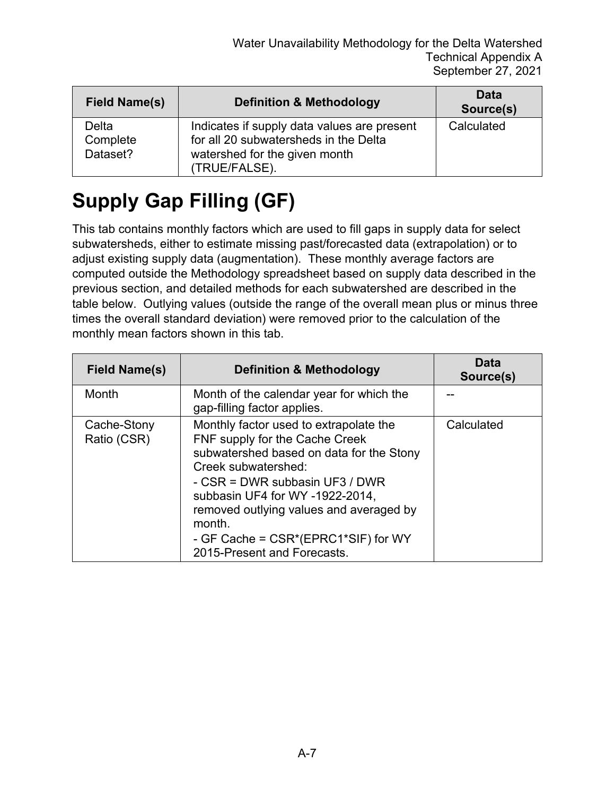| <b>Field Name(s)</b>          | <b>Definition &amp; Methodology</b>                                                                                                    | Data<br>Source(s) |
|-------------------------------|----------------------------------------------------------------------------------------------------------------------------------------|-------------------|
| Delta<br>Complete<br>Dataset? | Indicates if supply data values are present<br>for all 20 subwatersheds in the Delta<br>watershed for the given month<br>(TRUE/FALSE). | Calculated        |

## **Supply Gap Filling (GF)**

This tab contains monthly factors which are used to fill gaps in supply data for select subwatersheds, either to estimate missing past/forecasted data (extrapolation) or to adjust existing supply data (augmentation). These monthly average factors are computed outside the Methodology spreadsheet based on supply data described in the previous section, and detailed methods for each subwatershed are described in the table below. Outlying values (outside the range of the overall mean plus or minus three times the overall standard deviation) were removed prior to the calculation of the monthly mean factors shown in this tab.

| Field Name(s)              | <b>Definition &amp; Methodology</b>                                                                                                                                                                                                                                                                                                         | Data<br>Source(s) |
|----------------------------|---------------------------------------------------------------------------------------------------------------------------------------------------------------------------------------------------------------------------------------------------------------------------------------------------------------------------------------------|-------------------|
| Month                      | Month of the calendar year for which the<br>gap-filling factor applies.                                                                                                                                                                                                                                                                     |                   |
| Cache-Stony<br>Ratio (CSR) | Monthly factor used to extrapolate the<br>FNF supply for the Cache Creek<br>subwatershed based on data for the Stony<br>Creek subwatershed:<br>- CSR = DWR subbasin UF3 / DWR<br>subbasin UF4 for WY -1922-2014,<br>removed outlying values and averaged by<br>month.<br>- GF Cache = CSR*(EPRC1*SIF) for WY<br>2015-Present and Forecasts. | Calculated        |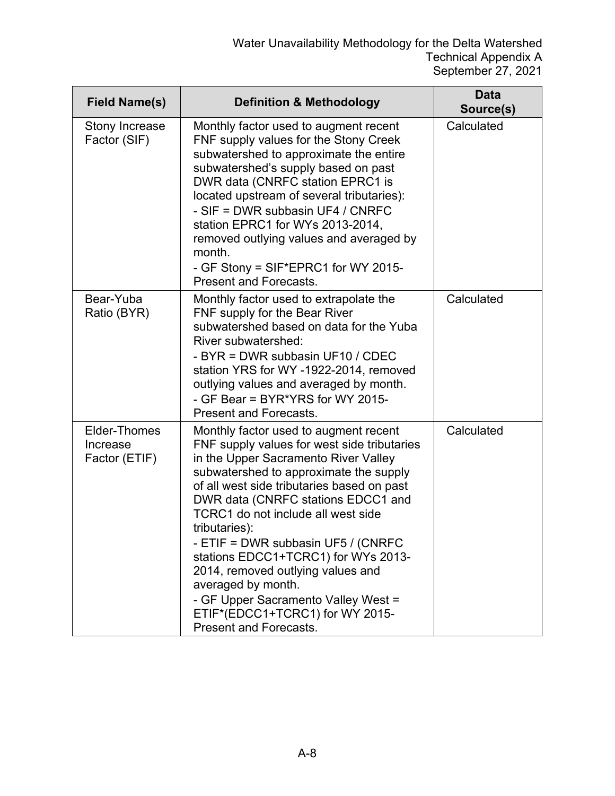| <b>Field Name(s)</b>                      | <b>Definition &amp; Methodology</b>                                                                                                                                                                                                                                                                                                                                                                                                                                                                                                                           | <b>Data</b><br>Source(s) |
|-------------------------------------------|---------------------------------------------------------------------------------------------------------------------------------------------------------------------------------------------------------------------------------------------------------------------------------------------------------------------------------------------------------------------------------------------------------------------------------------------------------------------------------------------------------------------------------------------------------------|--------------------------|
| Stony Increase<br>Factor (SIF)            | Monthly factor used to augment recent<br>FNF supply values for the Stony Creek<br>subwatershed to approximate the entire<br>subwatershed's supply based on past<br>DWR data (CNRFC station EPRC1 is<br>located upstream of several tributaries):<br>- SIF = DWR subbasin UF4 / CNRFC<br>station EPRC1 for WYs 2013-2014,<br>removed outlying values and averaged by<br>month.<br>- GF Stony = SIF*EPRC1 for WY 2015-<br><b>Present and Forecasts.</b>                                                                                                         | Calculated               |
| Bear-Yuba<br>Ratio (BYR)                  | Monthly factor used to extrapolate the<br>FNF supply for the Bear River<br>subwatershed based on data for the Yuba<br>River subwatershed:<br>- BYR = DWR subbasin UF10 / CDEC<br>station YRS for WY -1922-2014, removed<br>outlying values and averaged by month.<br>- GF Bear = BYR*YRS for WY 2015-<br><b>Present and Forecasts.</b>                                                                                                                                                                                                                        | Calculated               |
| Elder-Thomes<br>Increase<br>Factor (ETIF) | Monthly factor used to augment recent<br>FNF supply values for west side tributaries<br>in the Upper Sacramento River Valley<br>subwatershed to approximate the supply<br>of all west side tributaries based on past<br>DWR data (CNRFC stations EDCC1 and<br>TCRC1 do not include all west side<br>tributaries):<br>- ETIF = DWR subbasin UF5 / (CNRFC<br>stations EDCC1+TCRC1) for WYs 2013-<br>2014, removed outlying values and<br>averaged by month.<br>- GF Upper Sacramento Valley West =<br>ETIF*(EDCC1+TCRC1) for WY 2015-<br>Present and Forecasts. | Calculated               |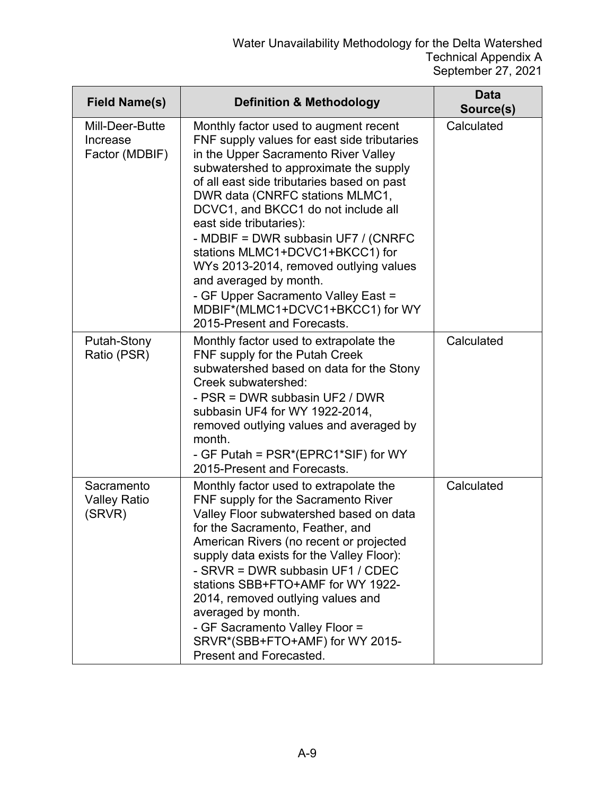| <b>Field Name(s)</b>                          | <b>Definition &amp; Methodology</b>                                                                                                                                                                                                                                                                                                                                                                                                                                                                                                                                               | <b>Data</b><br>Source(s) |
|-----------------------------------------------|-----------------------------------------------------------------------------------------------------------------------------------------------------------------------------------------------------------------------------------------------------------------------------------------------------------------------------------------------------------------------------------------------------------------------------------------------------------------------------------------------------------------------------------------------------------------------------------|--------------------------|
| Mill-Deer-Butte<br>Increase<br>Factor (MDBIF) | Monthly factor used to augment recent<br>FNF supply values for east side tributaries<br>in the Upper Sacramento River Valley<br>subwatershed to approximate the supply<br>of all east side tributaries based on past<br>DWR data (CNRFC stations MLMC1,<br>DCVC1, and BKCC1 do not include all<br>east side tributaries):<br>- MDBIF = DWR subbasin UF7 / (CNRFC<br>stations MLMC1+DCVC1+BKCC1) for<br>WYs 2013-2014, removed outlying values<br>and averaged by month.<br>- GF Upper Sacramento Valley East =<br>MDBIF*(MLMC1+DCVC1+BKCC1) for WY<br>2015-Present and Forecasts. | Calculated               |
| Putah-Stony<br>Ratio (PSR)                    | Monthly factor used to extrapolate the<br>FNF supply for the Putah Creek<br>subwatershed based on data for the Stony<br>Creek subwatershed:<br>- PSR = DWR subbasin UF2 / DWR<br>subbasin UF4 for WY 1922-2014,<br>removed outlying values and averaged by<br>month.<br>- GF Putah = PSR*(EPRC1*SIF) for WY<br>2015-Present and Forecasts.                                                                                                                                                                                                                                        | Calculated               |
| Sacramento<br><b>Valley Ratio</b><br>(SRVR)   | Monthly factor used to extrapolate the<br>FNF supply for the Sacramento River<br>Valley Floor subwatershed based on data<br>for the Sacramento, Feather, and<br>American Rivers (no recent or projected<br>supply data exists for the Valley Floor):<br>- SRVR = DWR subbasin UF1 / CDEC<br>stations SBB+FTO+AMF for WY 1922-<br>2014, removed outlying values and<br>averaged by month.<br>- GF Sacramento Valley Floor =<br>SRVR*(SBB+FTO+AMF) for WY 2015-<br>Present and Forecasted.                                                                                          | Calculated               |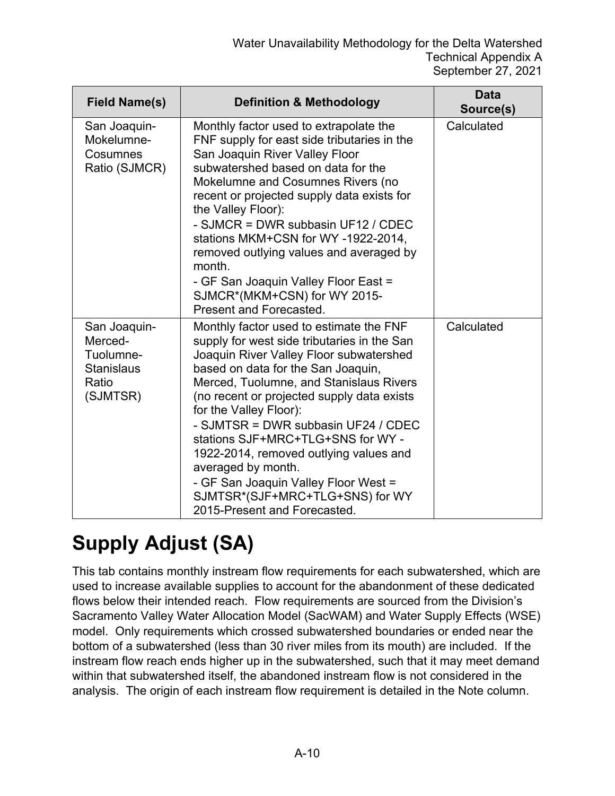| <b>Field Name(s)</b>                                                           | <b>Definition &amp; Methodology</b>                                                                                                                                                                                                                                                                                                                                                                                                                                                                                                               | <b>Data</b><br>Source(s) |
|--------------------------------------------------------------------------------|---------------------------------------------------------------------------------------------------------------------------------------------------------------------------------------------------------------------------------------------------------------------------------------------------------------------------------------------------------------------------------------------------------------------------------------------------------------------------------------------------------------------------------------------------|--------------------------|
| San Joaquin-<br>Mokelumne-<br>Cosumnes<br>Ratio (SJMCR)                        | Monthly factor used to extrapolate the<br>FNF supply for east side tributaries in the<br>San Joaquin River Valley Floor<br>subwatershed based on data for the<br>Mokelumne and Cosumnes Rivers (no<br>recent or projected supply data exists for<br>the Valley Floor):<br>- SJMCR = DWR subbasin UF12 / CDEC<br>stations MKM+CSN for WY-1922-2014,<br>removed outlying values and averaged by<br>month.<br>- GF San Joaquin Valley Floor East =<br>SJMCR*(MKM+CSN) for WY 2015-<br><b>Present and Forecasted.</b>                                 | Calculated               |
| San Joaquin-<br>Merced-<br>Tuolumne-<br><b>Stanislaus</b><br>Ratio<br>(SJMTSR) | Monthly factor used to estimate the FNF<br>supply for west side tributaries in the San<br>Joaquin River Valley Floor subwatershed<br>based on data for the San Joaquin,<br>Merced, Tuolumne, and Stanislaus Rivers<br>(no recent or projected supply data exists<br>for the Valley Floor):<br>- SJMTSR = DWR subbasin UF24 / CDEC<br>stations SJF+MRC+TLG+SNS for WY -<br>1922-2014, removed outlying values and<br>averaged by month.<br>- GF San Joaquin Valley Floor West =<br>SJMTSR*(SJF+MRC+TLG+SNS) for WY<br>2015-Present and Forecasted. | Calculated               |

## **Supply Adjust (SA)**

This tab contains monthly instream flow requirements for each subwatershed, which are used to increase available supplies to account for the abandonment of these dedicated flows below their intended reach. Flow requirements are sourced from the Division's Sacramento Valley Water Allocation Model (SacWAM) and Water Supply Effects (WSE) model. Only requirements which crossed subwatershed boundaries or ended near the bottom of a subwatershed (less than 30 river miles from its mouth) are included. If the instream flow reach ends higher up in the subwatershed, such that it may meet demand within that subwatershed itself, the abandoned instream flow is not considered in the analysis. The origin of each instream flow requirement is detailed in the Note column.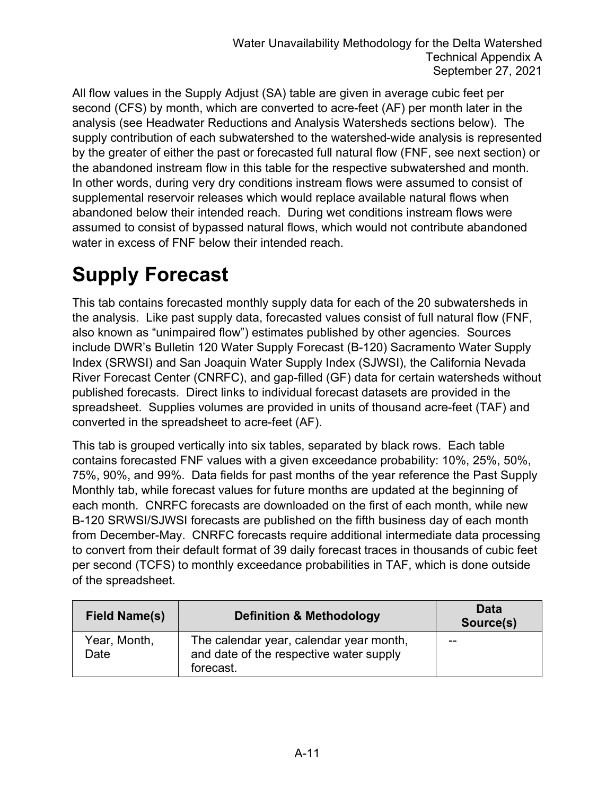All flow values in the Supply Adjust (SA) table are given in average cubic feet per second (CFS) by month, which are converted to acre-feet (AF) per month later in the analysis (see Headwater Reductions and Analysis Watersheds sections below). The supply contribution of each subwatershed to the watershed-wide analysis is represented by the greater of either the past or forecasted full natural flow (FNF, see next section) or the abandoned instream flow in this table for the respective subwatershed and month. In other words, during very dry conditions instream flows were assumed to consist of supplemental reservoir releases which would replace available natural flows when abandoned below their intended reach. During wet conditions instream flows were assumed to consist of bypassed natural flows, which would not contribute abandoned water in excess of FNF below their intended reach.

## **Supply Forecast**

This tab contains forecasted monthly supply data for each of the 20 subwatersheds in the analysis. Like past supply data, forecasted values consist of full natural flow (FNF, also known as "unimpaired flow") estimates published by other agencies. Sources include DWR's Bulletin 120 Water Supply Forecast (B-120) Sacramento Water Supply Index (SRWSI) and San Joaquin Water Supply Index (SJWSI), the California Nevada River Forecast Center (CNRFC), and gap-filled (GF) data for certain watersheds without published forecasts. Direct links to individual forecast datasets are provided in the spreadsheet. Supplies volumes are provided in units of thousand acre-feet (TAF) and converted in the spreadsheet to acre-feet (AF).

This tab is grouped vertically into six tables, separated by black rows. Each table contains forecasted FNF values with a given exceedance probability: 10%, 25%, 50%, 75%, 90%, and 99%. Data fields for past months of the year reference the Past Supply Monthly tab, while forecast values for future months are updated at the beginning of each month. CNRFC forecasts are downloaded on the first of each month, while new B-120 SRWSI/SJWSI forecasts are published on the fifth business day of each month from December-May. CNRFC forecasts require additional intermediate data processing to convert from their default format of 39 daily forecast traces in thousands of cubic feet per second (TCFS) to monthly exceedance probabilities in TAF, which is done outside of the spreadsheet.

| <b>Field Name(s)</b> | <b>Definition &amp; Methodology</b>                                                             | Data<br>Source(s) |
|----------------------|-------------------------------------------------------------------------------------------------|-------------------|
| Year, Month,<br>Date | The calendar year, calendar year month,<br>and date of the respective water supply<br>forecast. | --                |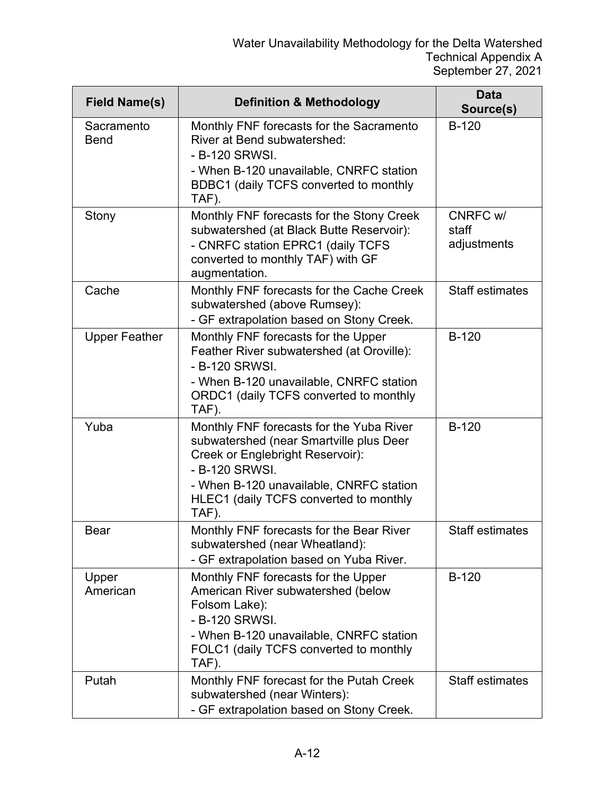| <b>Field Name(s)</b>      | <b>Definition &amp; Methodology</b>                                                                                                                                                                                                     | Data<br>Source(s)                |
|---------------------------|-----------------------------------------------------------------------------------------------------------------------------------------------------------------------------------------------------------------------------------------|----------------------------------|
| Sacramento<br><b>Bend</b> | Monthly FNF forecasts for the Sacramento<br><b>River at Bend subwatershed:</b><br>- B-120 SRWSI.<br>- When B-120 unavailable, CNRFC station<br>BDBC1 (daily TCFS converted to monthly<br>TAF).                                          | $B-120$                          |
| Stony                     | Monthly FNF forecasts for the Stony Creek<br>subwatershed (at Black Butte Reservoir):<br>- CNRFC station EPRC1 (daily TCFS<br>converted to monthly TAF) with GF<br>augmentation.                                                        | CNRFC w/<br>staff<br>adjustments |
| Cache                     | Monthly FNF forecasts for the Cache Creek<br>subwatershed (above Rumsey):<br>- GF extrapolation based on Stony Creek.                                                                                                                   | <b>Staff estimates</b>           |
| <b>Upper Feather</b>      | Monthly FNF forecasts for the Upper<br>Feather River subwatershed (at Oroville):<br>- B-120 SRWSI.<br>- When B-120 unavailable, CNRFC station<br>ORDC1 (daily TCFS converted to monthly<br>TAF).                                        | <b>B-120</b>                     |
| Yuba                      | Monthly FNF forecasts for the Yuba River<br>subwatershed (near Smartville plus Deer<br>Creek or Englebright Reservoir):<br>- B-120 SRWSI.<br>- When B-120 unavailable, CNRFC station<br>HLEC1 (daily TCFS converted to monthly<br>TAF). | $B-120$                          |
| <b>Bear</b>               | Monthly FNF forecasts for the Bear River<br>subwatershed (near Wheatland):<br>- GF extrapolation based on Yuba River.                                                                                                                   | <b>Staff estimates</b>           |
| Upper<br>American         | Monthly FNF forecasts for the Upper<br>American River subwatershed (below<br>Folsom Lake):<br>- B-120 SRWSI.<br>- When B-120 unavailable, CNRFC station<br>FOLC1 (daily TCFS converted to monthly<br>TAF).                              | <b>B-120</b>                     |
| Putah                     | Monthly FNF forecast for the Putah Creek<br>subwatershed (near Winters):<br>- GF extrapolation based on Stony Creek.                                                                                                                    | <b>Staff estimates</b>           |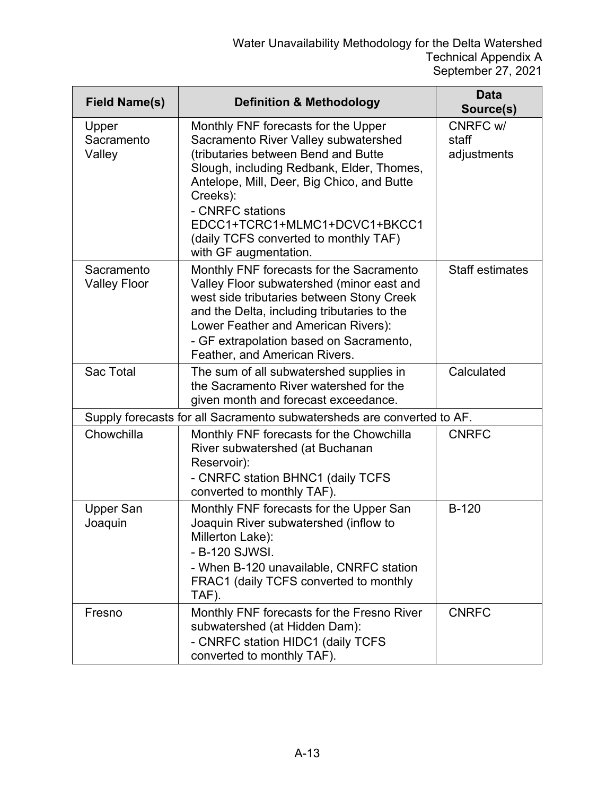| <b>Field Name(s)</b>              | <b>Definition &amp; Methodology</b>                                                                                                                                                                                                                                                                                                              | Data<br>Source(s)                |
|-----------------------------------|--------------------------------------------------------------------------------------------------------------------------------------------------------------------------------------------------------------------------------------------------------------------------------------------------------------------------------------------------|----------------------------------|
| Upper<br>Sacramento<br>Valley     | Monthly FNF forecasts for the Upper<br>Sacramento River Valley subwatershed<br>(tributaries between Bend and Butte<br>Slough, including Redbank, Elder, Thomes,<br>Antelope, Mill, Deer, Big Chico, and Butte<br>Creeks):<br>- CNRFC stations<br>EDCC1+TCRC1+MLMC1+DCVC1+BKCC1<br>(daily TCFS converted to monthly TAF)<br>with GF augmentation. | CNRFC w/<br>staff<br>adjustments |
| Sacramento<br><b>Valley Floor</b> | Monthly FNF forecasts for the Sacramento<br>Valley Floor subwatershed (minor east and<br>west side tributaries between Stony Creek<br>and the Delta, including tributaries to the<br>Lower Feather and American Rivers):<br>- GF extrapolation based on Sacramento,<br>Feather, and American Rivers.                                             | <b>Staff estimates</b>           |
| Sac Total                         | The sum of all subwatershed supplies in<br>the Sacramento River watershed for the<br>given month and forecast exceedance.                                                                                                                                                                                                                        | Calculated                       |
|                                   | Supply forecasts for all Sacramento subwatersheds are converted to AF.                                                                                                                                                                                                                                                                           |                                  |
| Chowchilla                        | Monthly FNF forecasts for the Chowchilla<br>River subwatershed (at Buchanan<br>Reservoir):<br>- CNRFC station BHNC1 (daily TCFS<br>converted to monthly TAF).                                                                                                                                                                                    | <b>CNRFC</b>                     |
| <b>Upper San</b><br>Joaquin       | Monthly FNF forecasts for the Upper San<br>Joaquin River subwatershed (inflow to<br>Millerton Lake):<br>- B-120 SJWSI.<br>- When B-120 unavailable, CNRFC station<br>FRAC1 (daily TCFS converted to monthly<br>TAF).                                                                                                                             | <b>B-120</b>                     |
| Fresno                            | Monthly FNF forecasts for the Fresno River<br>subwatershed (at Hidden Dam):<br>- CNRFC station HIDC1 (daily TCFS<br>converted to monthly TAF).                                                                                                                                                                                                   | <b>CNRFC</b>                     |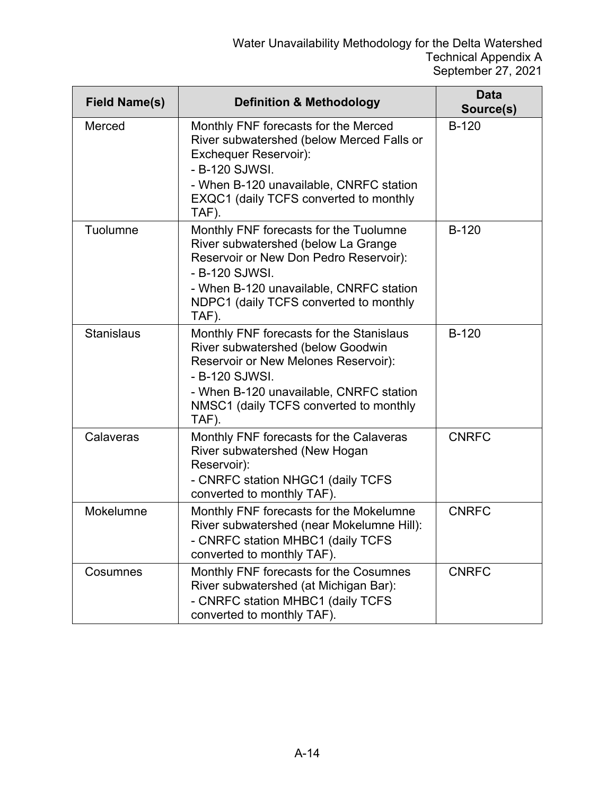| <b>Field Name(s)</b> | <b>Definition &amp; Methodology</b>                                                                                                                                                                                                     | <b>Data</b><br>Source(s) |
|----------------------|-----------------------------------------------------------------------------------------------------------------------------------------------------------------------------------------------------------------------------------------|--------------------------|
| Merced               | Monthly FNF forecasts for the Merced<br>River subwatershed (below Merced Falls or<br><b>Exchequer Reservoir):</b><br>- B-120 SJWSI.<br>- When B-120 unavailable, CNRFC station<br>EXQC1 (daily TCFS converted to monthly<br>TAF).       | $B-120$                  |
| Tuolumne             | Monthly FNF forecasts for the Tuolumne<br>River subwatershed (below La Grange<br>Reservoir or New Don Pedro Reservoir):<br>- B-120 SJWSI.<br>- When B-120 unavailable, CNRFC station<br>NDPC1 (daily TCFS converted to monthly<br>TAF). | <b>B-120</b>             |
| <b>Stanislaus</b>    | Monthly FNF forecasts for the Stanislaus<br>River subwatershed (below Goodwin<br>Reservoir or New Melones Reservoir):<br>- B-120 SJWSI.<br>- When B-120 unavailable, CNRFC station<br>NMSC1 (daily TCFS converted to monthly<br>TAF).   | $B-120$                  |
| Calaveras            | Monthly FNF forecasts for the Calaveras<br>River subwatershed (New Hogan<br>Reservoir):<br>- CNRFC station NHGC1 (daily TCFS<br>converted to monthly TAF).                                                                              | <b>CNRFC</b>             |
| Mokelumne            | Monthly FNF forecasts for the Mokelumne<br>River subwatershed (near Mokelumne Hill):<br>- CNRFC station MHBC1 (daily TCFS<br>converted to monthly TAF).                                                                                 | <b>CNRFC</b>             |
| Cosumnes             | Monthly FNF forecasts for the Cosumnes<br>River subwatershed (at Michigan Bar):<br>- CNRFC station MHBC1 (daily TCFS<br>converted to monthly TAF).                                                                                      | <b>CNRFC</b>             |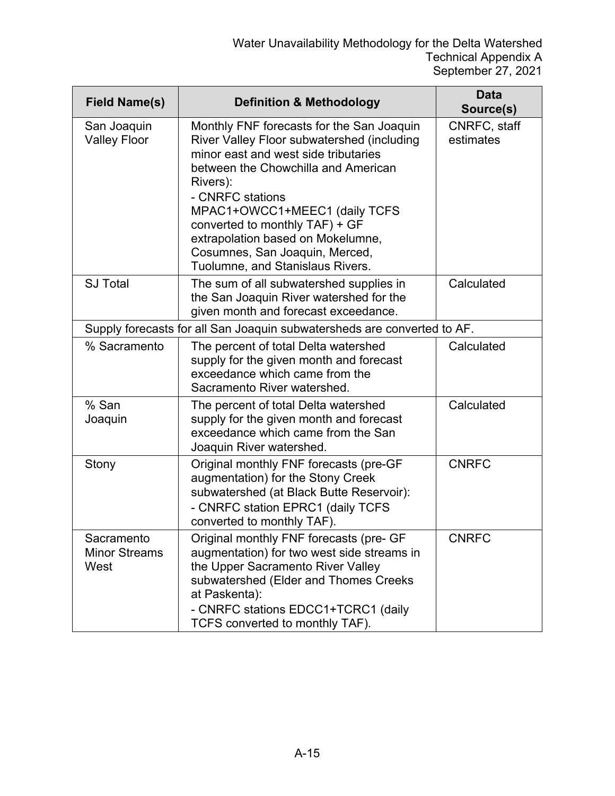| <b>Field Name(s)</b>                       | <b>Definition &amp; Methodology</b>                                                                                                                                                                                                                                                                                                                                                  | <b>Data</b><br>Source(s)  |
|--------------------------------------------|--------------------------------------------------------------------------------------------------------------------------------------------------------------------------------------------------------------------------------------------------------------------------------------------------------------------------------------------------------------------------------------|---------------------------|
| San Joaquin<br><b>Valley Floor</b>         | Monthly FNF forecasts for the San Joaquin<br>River Valley Floor subwatershed (including<br>minor east and west side tributaries<br>between the Chowchilla and American<br>Rivers):<br>- CNRFC stations<br>MPAC1+OWCC1+MEEC1 (daily TCFS<br>converted to monthly TAF) + GF<br>extrapolation based on Mokelumne,<br>Cosumnes, San Joaquin, Merced,<br>Tuolumne, and Stanislaus Rivers. | CNRFC, staff<br>estimates |
| <b>SJ Total</b>                            | The sum of all subwatershed supplies in<br>the San Joaquin River watershed for the<br>given month and forecast exceedance.                                                                                                                                                                                                                                                           | Calculated                |
|                                            | Supply forecasts for all San Joaquin subwatersheds are converted to AF.                                                                                                                                                                                                                                                                                                              |                           |
| % Sacramento                               | The percent of total Delta watershed<br>supply for the given month and forecast<br>exceedance which came from the<br>Sacramento River watershed.                                                                                                                                                                                                                                     | Calculated                |
| % San<br>Joaquin                           | The percent of total Delta watershed<br>supply for the given month and forecast<br>exceedance which came from the San<br>Joaquin River watershed.                                                                                                                                                                                                                                    | Calculated                |
| Stony                                      | Original monthly FNF forecasts (pre-GF<br>augmentation) for the Stony Creek<br>subwatershed (at Black Butte Reservoir):<br>- CNRFC station EPRC1 (daily TCFS<br>converted to monthly TAF).                                                                                                                                                                                           | <b>CNRFC</b>              |
| Sacramento<br><b>Minor Streams</b><br>West | Original monthly FNF forecasts (pre- GF<br>augmentation) for two west side streams in<br>the Upper Sacramento River Valley<br>subwatershed (Elder and Thomes Creeks<br>at Paskenta):<br>- CNRFC stations EDCC1+TCRC1 (daily<br>TCFS converted to monthly TAF).                                                                                                                       | <b>CNRFC</b>              |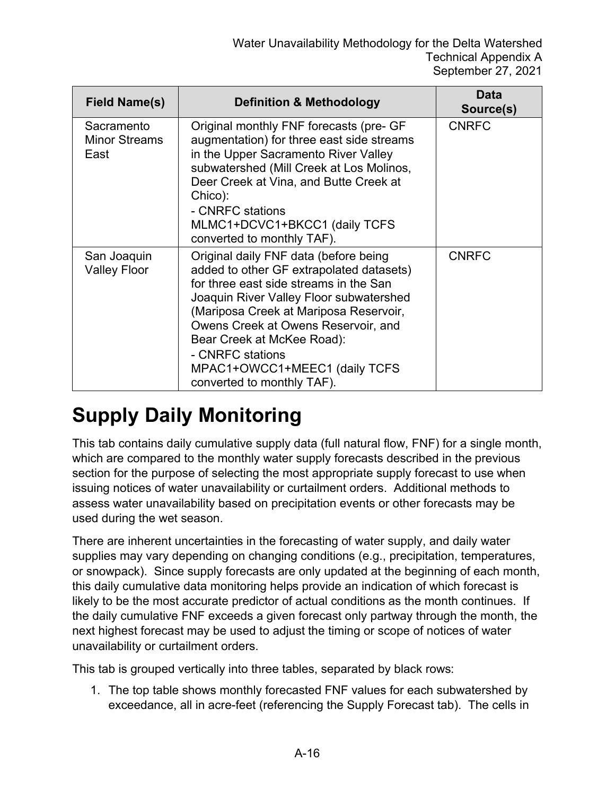| <b>Field Name(s)</b>                       | <b>Definition &amp; Methodology</b>                                                                                                                                                                                                                                                                                                                                      | <b>Data</b><br>Source(s) |
|--------------------------------------------|--------------------------------------------------------------------------------------------------------------------------------------------------------------------------------------------------------------------------------------------------------------------------------------------------------------------------------------------------------------------------|--------------------------|
| Sacramento<br><b>Minor Streams</b><br>East | Original monthly FNF forecasts (pre- GF<br>augmentation) for three east side streams<br>in the Upper Sacramento River Valley<br>subwatershed (Mill Creek at Los Molinos,<br>Deer Creek at Vina, and Butte Creek at<br>Chico):<br>- CNRFC stations<br>MLMC1+DCVC1+BKCC1 (daily TCFS<br>converted to monthly TAF).                                                         | <b>CNRFC</b>             |
| San Joaquin<br><b>Valley Floor</b>         | Original daily FNF data (before being<br>added to other GF extrapolated datasets)<br>for three east side streams in the San<br>Joaquin River Valley Floor subwatershed<br>(Mariposa Creek at Mariposa Reservoir,<br>Owens Creek at Owens Reservoir, and<br>Bear Creek at McKee Road):<br>- CNRFC stations<br>MPAC1+OWCC1+MEEC1 (daily TCFS<br>converted to monthly TAF). | <b>CNRFC</b>             |

## **Supply Daily Monitoring**

This tab contains daily cumulative supply data (full natural flow, FNF) for a single month, which are compared to the monthly water supply forecasts described in the previous section for the purpose of selecting the most appropriate supply forecast to use when issuing notices of water unavailability or curtailment orders. Additional methods to assess water unavailability based on precipitation events or other forecasts may be used during the wet season.

There are inherent uncertainties in the forecasting of water supply, and daily water supplies may vary depending on changing conditions (e.g., precipitation, temperatures, or snowpack). Since supply forecasts are only updated at the beginning of each month, this daily cumulative data monitoring helps provide an indication of which forecast is likely to be the most accurate predictor of actual conditions as the month continues. If the daily cumulative FNF exceeds a given forecast only partway through the month, the next highest forecast may be used to adjust the timing or scope of notices of water unavailability or curtailment orders.

This tab is grouped vertically into three tables, separated by black rows:

1. The top table shows monthly forecasted FNF values for each subwatershed by exceedance, all in acre-feet (referencing the Supply Forecast tab). The cells in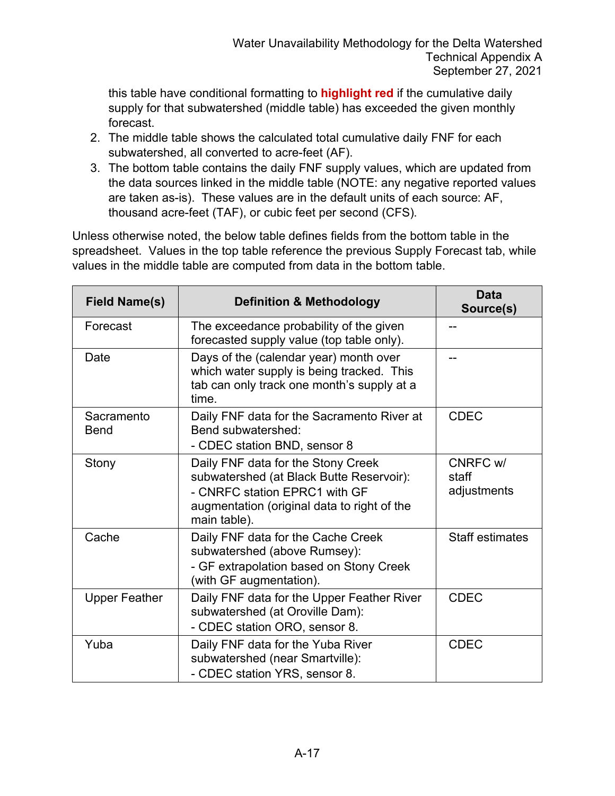this table have conditional formatting to **highlight red** if the cumulative daily supply for that subwatershed (middle table) has exceeded the given monthly forecast.

- 2. The middle table shows the calculated total cumulative daily FNF for each subwatershed, all converted to acre-feet (AF).
- 3. The bottom table contains the daily FNF supply values, which are updated from the data sources linked in the middle table (NOTE: any negative reported values are taken as-is). These values are in the default units of each source: AF, thousand acre-feet (TAF), or cubic feet per second (CFS).

Unless otherwise noted, the below table defines fields from the bottom table in the spreadsheet. Values in the top table reference the previous Supply Forecast tab, while values in the middle table are computed from data in the bottom table.

| <b>Field Name(s)</b>      | <b>Definition &amp; Methodology</b>                                                                                                                                            | <b>Data</b><br>Source(s)         |
|---------------------------|--------------------------------------------------------------------------------------------------------------------------------------------------------------------------------|----------------------------------|
| Forecast                  | The exceedance probability of the given<br>forecasted supply value (top table only).                                                                                           |                                  |
| Date                      | Days of the (calendar year) month over<br>which water supply is being tracked. This<br>tab can only track one month's supply at a<br>time.                                     |                                  |
| Sacramento<br><b>Bend</b> | Daily FNF data for the Sacramento River at<br>Bend subwatershed:<br>- CDEC station BND, sensor 8                                                                               | <b>CDEC</b>                      |
| Stony                     | Daily FNF data for the Stony Creek<br>subwatershed (at Black Butte Reservoir):<br>- CNRFC station EPRC1 with GF<br>augmentation (original data to right of the<br>main table). | CNRFC w/<br>staff<br>adjustments |
| Cache                     | Daily FNF data for the Cache Creek<br>subwatershed (above Rumsey):<br>- GF extrapolation based on Stony Creek<br>(with GF augmentation).                                       | <b>Staff estimates</b>           |
| <b>Upper Feather</b>      | Daily FNF data for the Upper Feather River<br>subwatershed (at Oroville Dam):<br>- CDEC station ORO, sensor 8.                                                                 | <b>CDEC</b>                      |
| Yuba                      | Daily FNF data for the Yuba River<br>subwatershed (near Smartville):<br>- CDEC station YRS, sensor 8.                                                                          | <b>CDEC</b>                      |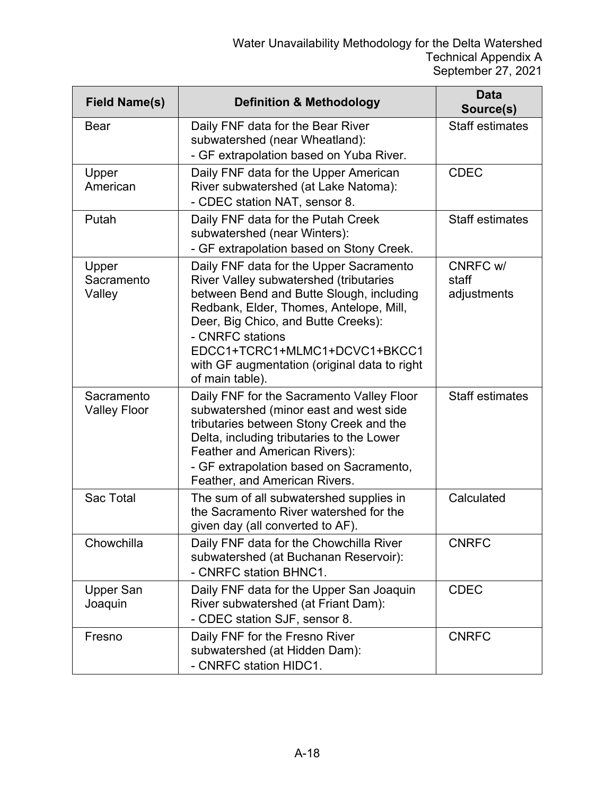| <b>Field Name(s)</b>              | <b>Definition &amp; Methodology</b>                                                                                                                                                                                                                                                                                                     | Data<br>Source(s)                |
|-----------------------------------|-----------------------------------------------------------------------------------------------------------------------------------------------------------------------------------------------------------------------------------------------------------------------------------------------------------------------------------------|----------------------------------|
| <b>Bear</b>                       | Daily FNF data for the Bear River<br>subwatershed (near Wheatland):<br>- GF extrapolation based on Yuba River.                                                                                                                                                                                                                          | <b>Staff estimates</b>           |
| Upper<br>American                 | Daily FNF data for the Upper American<br>River subwatershed (at Lake Natoma):<br>- CDEC station NAT, sensor 8.                                                                                                                                                                                                                          | <b>CDEC</b>                      |
| Putah                             | Daily FNF data for the Putah Creek<br>subwatershed (near Winters):<br>- GF extrapolation based on Stony Creek.                                                                                                                                                                                                                          | <b>Staff estimates</b>           |
| Upper<br>Sacramento<br>Valley     | Daily FNF data for the Upper Sacramento<br>River Valley subwatershed (tributaries<br>between Bend and Butte Slough, including<br>Redbank, Elder, Thomes, Antelope, Mill,<br>Deer, Big Chico, and Butte Creeks):<br>- CNRFC stations<br>EDCC1+TCRC1+MLMC1+DCVC1+BKCC1<br>with GF augmentation (original data to right<br>of main table). | CNRFC w/<br>staff<br>adjustments |
| Sacramento<br><b>Valley Floor</b> | Daily FNF for the Sacramento Valley Floor<br>subwatershed (minor east and west side<br>tributaries between Stony Creek and the<br>Delta, including tributaries to the Lower<br>Feather and American Rivers):<br>- GF extrapolation based on Sacramento,<br>Feather, and American Rivers.                                                | <b>Staff estimates</b>           |
| <b>Sac Total</b>                  | The sum of all subwatershed supplies in<br>the Sacramento River watershed for the<br>given day (all converted to AF).                                                                                                                                                                                                                   | Calculated                       |
| Chowchilla                        | Daily FNF data for the Chowchilla River<br>subwatershed (at Buchanan Reservoir):<br>- CNRFC station BHNC1.                                                                                                                                                                                                                              | <b>CNRFC</b>                     |
| <b>Upper San</b><br>Joaquin       | Daily FNF data for the Upper San Joaquin<br>River subwatershed (at Friant Dam):<br>- CDEC station SJF, sensor 8.                                                                                                                                                                                                                        | <b>CDEC</b>                      |
| Fresno                            | Daily FNF for the Fresno River<br>subwatershed (at Hidden Dam):<br>- CNRFC station HIDC1.                                                                                                                                                                                                                                               | <b>CNRFC</b>                     |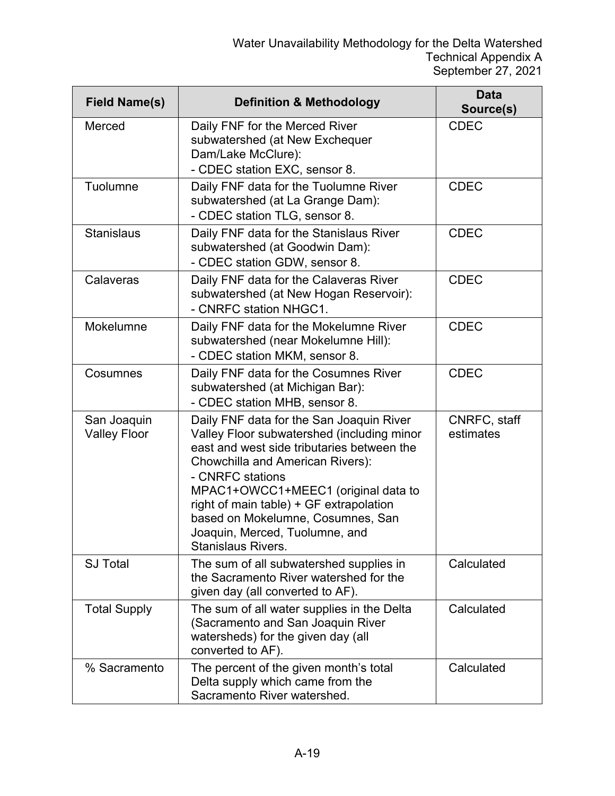| <b>Field Name(s)</b>               | <b>Definition &amp; Methodology</b>                                                                                                                                                                                                                                                                                                                                                | <b>Data</b><br>Source(s)  |
|------------------------------------|------------------------------------------------------------------------------------------------------------------------------------------------------------------------------------------------------------------------------------------------------------------------------------------------------------------------------------------------------------------------------------|---------------------------|
| Merced                             | Daily FNF for the Merced River<br>subwatershed (at New Exchequer<br>Dam/Lake McClure):<br>- CDEC station EXC, sensor 8.                                                                                                                                                                                                                                                            | <b>CDEC</b>               |
| Tuolumne                           | Daily FNF data for the Tuolumne River<br>subwatershed (at La Grange Dam):<br>- CDEC station TLG, sensor 8.                                                                                                                                                                                                                                                                         | <b>CDEC</b>               |
| <b>Stanislaus</b>                  | Daily FNF data for the Stanislaus River<br>subwatershed (at Goodwin Dam):<br>- CDEC station GDW, sensor 8.                                                                                                                                                                                                                                                                         | <b>CDEC</b>               |
| Calaveras                          | Daily FNF data for the Calaveras River<br>subwatershed (at New Hogan Reservoir):<br>- CNRFC station NHGC1.                                                                                                                                                                                                                                                                         | <b>CDEC</b>               |
| Mokelumne                          | Daily FNF data for the Mokelumne River<br>subwatershed (near Mokelumne Hill):<br>- CDEC station MKM, sensor 8.                                                                                                                                                                                                                                                                     | <b>CDEC</b>               |
| Cosumnes                           | Daily FNF data for the Cosumnes River<br>subwatershed (at Michigan Bar):<br>- CDEC station MHB, sensor 8.                                                                                                                                                                                                                                                                          | <b>CDEC</b>               |
| San Joaquin<br><b>Valley Floor</b> | Daily FNF data for the San Joaquin River<br>Valley Floor subwatershed (including minor<br>east and west side tributaries between the<br>Chowchilla and American Rivers):<br>- CNRFC stations<br>MPAC1+OWCC1+MEEC1 (original data to<br>right of main table) + GF extrapolation<br>based on Mokelumne, Cosumnes, San<br>Joaquin, Merced, Tuolumne, and<br><b>Stanislaus Rivers.</b> | CNRFC, staff<br>estimates |
| <b>SJ Total</b>                    | The sum of all subwatershed supplies in<br>the Sacramento River watershed for the<br>given day (all converted to AF).                                                                                                                                                                                                                                                              | Calculated                |
| <b>Total Supply</b>                | The sum of all water supplies in the Delta<br>(Sacramento and San Joaquin River<br>watersheds) for the given day (all<br>converted to AF).                                                                                                                                                                                                                                         | Calculated                |
| % Sacramento                       | The percent of the given month's total<br>Delta supply which came from the<br>Sacramento River watershed.                                                                                                                                                                                                                                                                          | Calculated                |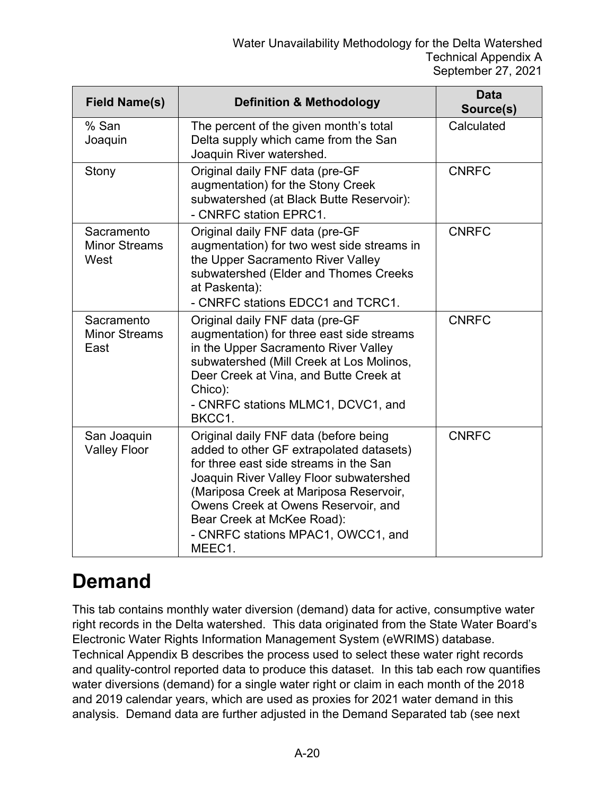| <b>Field Name(s)</b>                       | <b>Definition &amp; Methodology</b>                                                                                                                                                                                                                                                                                                   | <b>Data</b><br>Source(s) |
|--------------------------------------------|---------------------------------------------------------------------------------------------------------------------------------------------------------------------------------------------------------------------------------------------------------------------------------------------------------------------------------------|--------------------------|
| % San<br>Joaquin                           | The percent of the given month's total<br>Delta supply which came from the San<br>Joaquin River watershed.                                                                                                                                                                                                                            | Calculated               |
| Stony                                      | Original daily FNF data (pre-GF<br>augmentation) for the Stony Creek<br>subwatershed (at Black Butte Reservoir):<br>- CNRFC station EPRC1.                                                                                                                                                                                            | <b>CNRFC</b>             |
| Sacramento<br><b>Minor Streams</b><br>West | Original daily FNF data (pre-GF<br>augmentation) for two west side streams in<br>the Upper Sacramento River Valley<br>subwatershed (Elder and Thomes Creeks<br>at Paskenta):<br>- CNRFC stations EDCC1 and TCRC1.                                                                                                                     | <b>CNRFC</b>             |
| Sacramento<br><b>Minor Streams</b><br>East | Original daily FNF data (pre-GF<br>augmentation) for three east side streams<br>in the Upper Sacramento River Valley<br>subwatershed (Mill Creek at Los Molinos,<br>Deer Creek at Vina, and Butte Creek at<br>Chico):<br>- CNRFC stations MLMC1, DCVC1, and<br>BKCC1.                                                                 | <b>CNRFC</b>             |
| San Joaquin<br><b>Valley Floor</b>         | Original daily FNF data (before being<br>added to other GF extrapolated datasets)<br>for three east side streams in the San<br>Joaquin River Valley Floor subwatershed<br>(Mariposa Creek at Mariposa Reservoir,<br>Owens Creek at Owens Reservoir, and<br>Bear Creek at McKee Road):<br>- CNRFC stations MPAC1, OWCC1, and<br>MEEC1. | <b>CNRFC</b>             |

### **Demand**

This tab contains monthly water diversion (demand) data for active, consumptive water right records in the Delta watershed. This data originated from the State Water Board's Electronic Water Rights Information Management System (eWRIMS) database. Technical Appendix B describes the process used to select these water right records and quality-control reported data to produce this dataset. In this tab each row quantifies water diversions (demand) for a single water right or claim in each month of the 2018 and 2019 calendar years, which are used as proxies for 2021 water demand in this analysis. Demand data are further adjusted in the Demand Separated tab (see next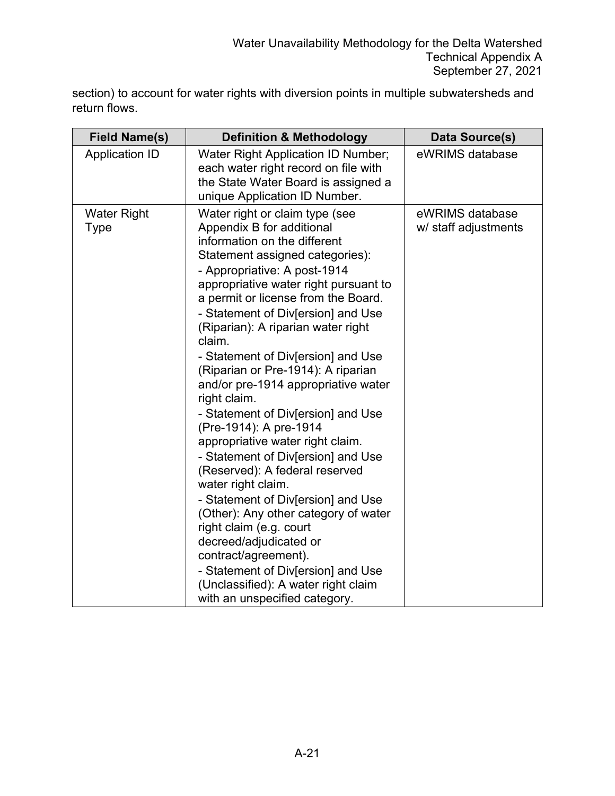section) to account for water rights with diversion points in multiple subwatersheds and return flows.

| <b>Field Name(s)</b>              | <b>Definition &amp; Methodology</b>                                                                                                                                                                                                                                                                                                                                                                                                                                                                                                                                                                                                                                                                                                                                                                                                                                                                                                                | <b>Data Source(s)</b>                   |
|-----------------------------------|----------------------------------------------------------------------------------------------------------------------------------------------------------------------------------------------------------------------------------------------------------------------------------------------------------------------------------------------------------------------------------------------------------------------------------------------------------------------------------------------------------------------------------------------------------------------------------------------------------------------------------------------------------------------------------------------------------------------------------------------------------------------------------------------------------------------------------------------------------------------------------------------------------------------------------------------------|-----------------------------------------|
| <b>Application ID</b>             | <b>Water Right Application ID Number;</b><br>each water right record on file with<br>the State Water Board is assigned a<br>unique Application ID Number.                                                                                                                                                                                                                                                                                                                                                                                                                                                                                                                                                                                                                                                                                                                                                                                          | eWRIMS database                         |
| <b>Water Right</b><br><b>Type</b> | Water right or claim type (see<br>Appendix B for additional<br>information on the different<br>Statement assigned categories):<br>- Appropriative: A post-1914<br>appropriative water right pursuant to<br>a permit or license from the Board.<br>- Statement of Div[ersion] and Use<br>(Riparian): A riparian water right<br>claim.<br>- Statement of Div[ersion] and Use<br>(Riparian or Pre-1914): A riparian<br>and/or pre-1914 appropriative water<br>right claim.<br>- Statement of Div[ersion] and Use<br>(Pre-1914): A pre-1914<br>appropriative water right claim.<br>- Statement of Div[ersion] and Use<br>(Reserved): A federal reserved<br>water right claim.<br>- Statement of Div[ersion] and Use<br>(Other): Any other category of water<br>right claim (e.g. court<br>decreed/adjudicated or<br>contract/agreement).<br>- Statement of Div[ersion] and Use<br>(Unclassified): A water right claim<br>with an unspecified category. | eWRIMS database<br>w/ staff adjustments |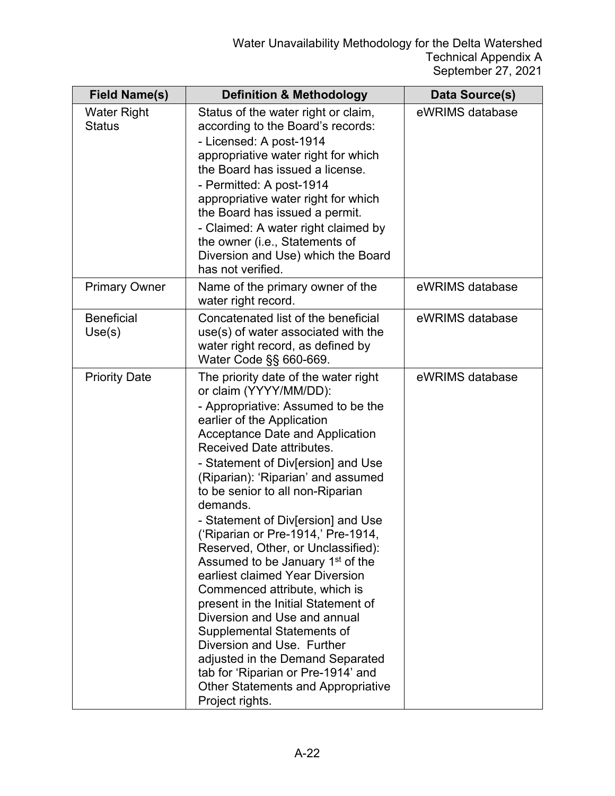| <b>Field Name(s)</b>                | <b>Definition &amp; Methodology</b>                                                                                                                                                                                                                                                                                                                                                                                                                                                                                                                                                                                                                                                                                                                                                                                                                                   | Data Source(s)  |
|-------------------------------------|-----------------------------------------------------------------------------------------------------------------------------------------------------------------------------------------------------------------------------------------------------------------------------------------------------------------------------------------------------------------------------------------------------------------------------------------------------------------------------------------------------------------------------------------------------------------------------------------------------------------------------------------------------------------------------------------------------------------------------------------------------------------------------------------------------------------------------------------------------------------------|-----------------|
| <b>Water Right</b><br><b>Status</b> | Status of the water right or claim,<br>according to the Board's records:<br>- Licensed: A post-1914<br>appropriative water right for which<br>the Board has issued a license.<br>- Permitted: A post-1914<br>appropriative water right for which<br>the Board has issued a permit.<br>- Claimed: A water right claimed by<br>the owner (i.e., Statements of<br>Diversion and Use) which the Board<br>has not verified.                                                                                                                                                                                                                                                                                                                                                                                                                                                | eWRIMS database |
| <b>Primary Owner</b>                | Name of the primary owner of the<br>water right record.                                                                                                                                                                                                                                                                                                                                                                                                                                                                                                                                                                                                                                                                                                                                                                                                               | eWRIMS database |
| <b>Beneficial</b><br>Use(s)         | Concatenated list of the beneficial<br>use(s) of water associated with the<br>water right record, as defined by<br>Water Code §§ 660-669.                                                                                                                                                                                                                                                                                                                                                                                                                                                                                                                                                                                                                                                                                                                             | eWRIMS database |
| <b>Priority Date</b>                | The priority date of the water right<br>or claim (YYYY/MM/DD):<br>- Appropriative: Assumed to be the<br>earlier of the Application<br><b>Acceptance Date and Application</b><br><b>Received Date attributes.</b><br>- Statement of Div[ersion] and Use<br>(Riparian): 'Riparian' and assumed<br>to be senior to all non-Riparian<br>demands.<br>- Statement of Div[ersion] and Use<br>('Riparian or Pre-1914,' Pre-1914<br>Reserved, Other, or Unclassified):<br>Assumed to be January 1 <sup>st</sup> of the<br>earliest claimed Year Diversion<br>Commenced attribute, which is<br>present in the Initial Statement of<br>Diversion and Use and annual<br><b>Supplemental Statements of</b><br>Diversion and Use. Further<br>adjusted in the Demand Separated<br>tab for 'Riparian or Pre-1914' and<br><b>Other Statements and Appropriative</b><br>Project rights. | eWRIMS database |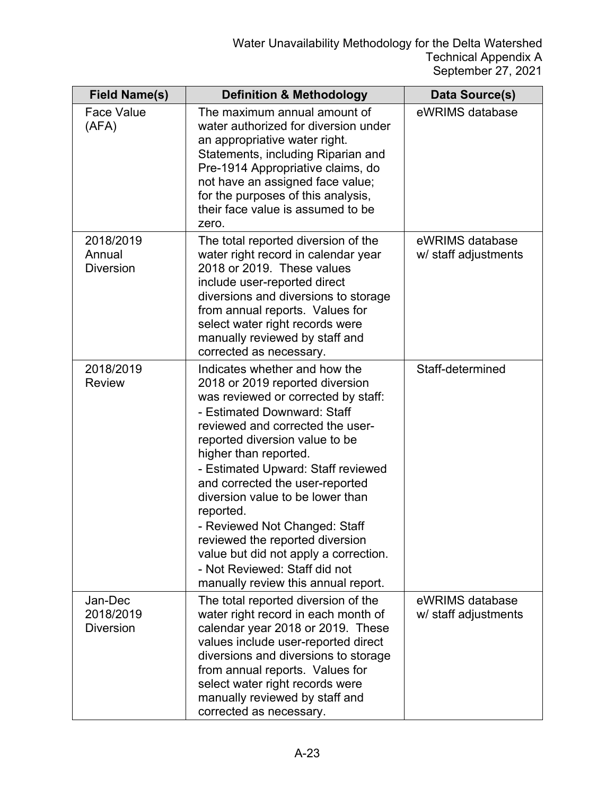| <b>Field Name(s)</b>                     | <b>Definition &amp; Methodology</b>                                                                                                                                                                                                                                                                                                                                                                                                                                                                                                                  | Data Source(s)                          |
|------------------------------------------|------------------------------------------------------------------------------------------------------------------------------------------------------------------------------------------------------------------------------------------------------------------------------------------------------------------------------------------------------------------------------------------------------------------------------------------------------------------------------------------------------------------------------------------------------|-----------------------------------------|
| <b>Face Value</b><br>(AFA)               | The maximum annual amount of<br>water authorized for diversion under<br>an appropriative water right.<br>Statements, including Riparian and<br>Pre-1914 Appropriative claims, do<br>not have an assigned face value;<br>for the purposes of this analysis,<br>their face value is assumed to be<br>zero.                                                                                                                                                                                                                                             | eWRIMS database                         |
| 2018/2019<br>Annual<br><b>Diversion</b>  | The total reported diversion of the<br>water right record in calendar year<br>2018 or 2019. These values<br>include user-reported direct<br>diversions and diversions to storage<br>from annual reports. Values for<br>select water right records were<br>manually reviewed by staff and<br>corrected as necessary.                                                                                                                                                                                                                                  | eWRIMS database<br>w/ staff adjustments |
| 2018/2019<br><b>Review</b>               | Indicates whether and how the<br>2018 or 2019 reported diversion<br>was reviewed or corrected by staff:<br>- Estimated Downward: Staff<br>reviewed and corrected the user-<br>reported diversion value to be<br>higher than reported.<br>- Estimated Upward: Staff reviewed<br>and corrected the user-reported<br>diversion value to be lower than<br>reported.<br>- Reviewed Not Changed: Staff<br>reviewed the reported diversion<br>value but did not apply a correction.<br>- Not Reviewed: Staff did not<br>manually review this annual report. | Staff-determined                        |
| Jan-Dec<br>2018/2019<br><b>Diversion</b> | The total reported diversion of the<br>water right record in each month of<br>calendar year 2018 or 2019. These<br>values include user-reported direct<br>diversions and diversions to storage<br>from annual reports. Values for<br>select water right records were<br>manually reviewed by staff and<br>corrected as necessary.                                                                                                                                                                                                                    | eWRIMS database<br>w/ staff adjustments |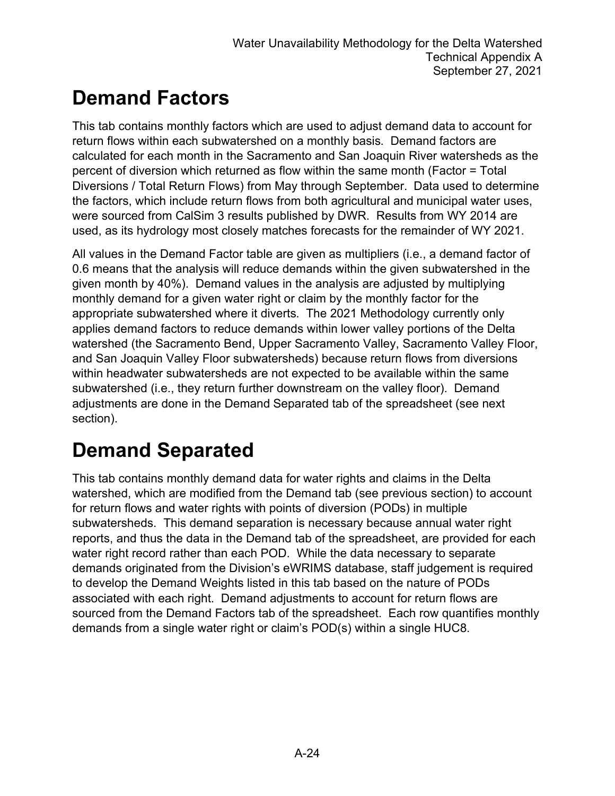## **Demand Factors**

This tab contains monthly factors which are used to adjust demand data to account for return flows within each subwatershed on a monthly basis. Demand factors are calculated for each month in the Sacramento and San Joaquin River watersheds as the percent of diversion which returned as flow within the same month (Factor = Total Diversions / Total Return Flows) from May through September. Data used to determine the factors, which include return flows from both agricultural and municipal water uses, were sourced from CalSim 3 results published by DWR. Results from WY 2014 are used, as its hydrology most closely matches forecasts for the remainder of WY 2021.

All values in the Demand Factor table are given as multipliers (i.e., a demand factor of 0.6 means that the analysis will reduce demands within the given subwatershed in the given month by 40%). Demand values in the analysis are adjusted by multiplying monthly demand for a given water right or claim by the monthly factor for the appropriate subwatershed where it diverts. The 2021 Methodology currently only applies demand factors to reduce demands within lower valley portions of the Delta watershed (the Sacramento Bend, Upper Sacramento Valley, Sacramento Valley Floor, and San Joaquin Valley Floor subwatersheds) because return flows from diversions within headwater subwatersheds are not expected to be available within the same subwatershed (i.e., they return further downstream on the valley floor). Demand adjustments are done in the Demand Separated tab of the spreadsheet (see next section).

## **Demand Separated**

This tab contains monthly demand data for water rights and claims in the Delta watershed, which are modified from the Demand tab (see previous section) to account for return flows and water rights with points of diversion (PODs) in multiple subwatersheds. This demand separation is necessary because annual water right reports, and thus the data in the Demand tab of the spreadsheet, are provided for each water right record rather than each POD. While the data necessary to separate demands originated from the Division's eWRIMS database, staff judgement is required to develop the Demand Weights listed in this tab based on the nature of PODs associated with each right. Demand adjustments to account for return flows are sourced from the Demand Factors tab of the spreadsheet. Each row quantifies monthly demands from a single water right or claim's POD(s) within a single HUC8.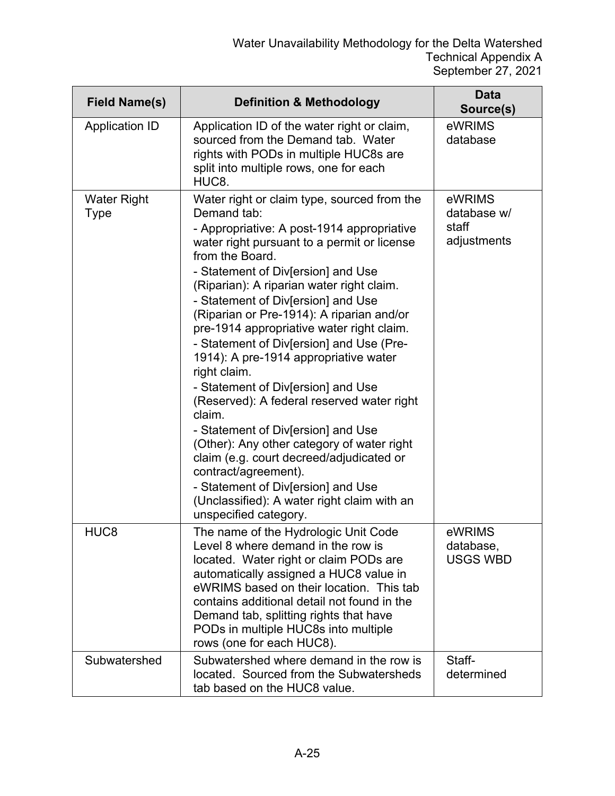| <b>Field Name(s)</b>              | <b>Definition &amp; Methodology</b>                                                                                                                                                                                                                                                                                                                                                                                                                                                                                                                                                                                                                                                                                                                                                                                                                                    | <b>Data</b><br>Source(s)                      |
|-----------------------------------|------------------------------------------------------------------------------------------------------------------------------------------------------------------------------------------------------------------------------------------------------------------------------------------------------------------------------------------------------------------------------------------------------------------------------------------------------------------------------------------------------------------------------------------------------------------------------------------------------------------------------------------------------------------------------------------------------------------------------------------------------------------------------------------------------------------------------------------------------------------------|-----------------------------------------------|
| <b>Application ID</b>             | Application ID of the water right or claim,<br>sourced from the Demand tab. Water<br>rights with PODs in multiple HUC8s are<br>split into multiple rows, one for each<br>HUC8.                                                                                                                                                                                                                                                                                                                                                                                                                                                                                                                                                                                                                                                                                         | eWRIMS<br>database                            |
| <b>Water Right</b><br><b>Type</b> | Water right or claim type, sourced from the<br>Demand tab:<br>- Appropriative: A post-1914 appropriative<br>water right pursuant to a permit or license<br>from the Board.<br>- Statement of Div[ersion] and Use<br>(Riparian): A riparian water right claim.<br>- Statement of Div[ersion] and Use<br>(Riparian or Pre-1914): A riparian and/or<br>pre-1914 appropriative water right claim.<br>- Statement of Div[ersion] and Use (Pre-<br>1914): A pre-1914 appropriative water<br>right claim.<br>- Statement of Div[ersion] and Use<br>(Reserved): A federal reserved water right<br>claim.<br>- Statement of Div[ersion] and Use<br>(Other): Any other category of water right<br>claim (e.g. court decreed/adjudicated or<br>contract/agreement).<br>- Statement of Div[ersion] and Use<br>(Unclassified): A water right claim with an<br>unspecified category. | eWRIMS<br>database w/<br>staff<br>adjustments |
| HUC <sub>8</sub>                  | The name of the Hydrologic Unit Code<br>Level 8 where demand in the row is<br>located. Water right or claim PODs are<br>automatically assigned a HUC8 value in<br>eWRIMS based on their location. This tab<br>contains additional detail not found in the<br>Demand tab, splitting rights that have<br>PODs in multiple HUC8s into multiple<br>rows (one for each HUC8).                                                                                                                                                                                                                                                                                                                                                                                                                                                                                               | eWRIMS<br>database,<br><b>USGS WBD</b>        |
| Subwatershed                      | Subwatershed where demand in the row is<br>located. Sourced from the Subwatersheds<br>tab based on the HUC8 value.                                                                                                                                                                                                                                                                                                                                                                                                                                                                                                                                                                                                                                                                                                                                                     | Staff-<br>determined                          |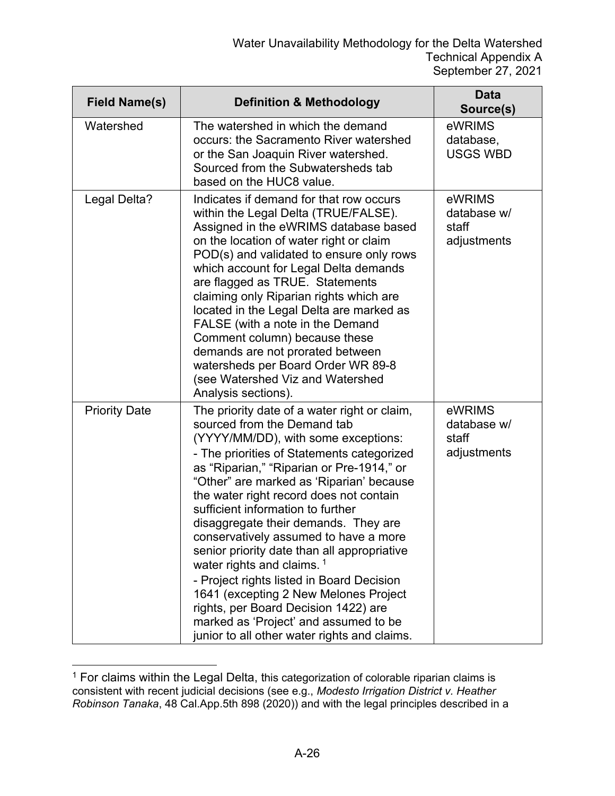| <b>Field Name(s)</b> | <b>Definition &amp; Methodology</b>                                                                                                                                                                                                                                                                                                                                                                                                                                                                                                                                                                                                                                                                                                       | <b>Data</b><br>Source(s)                      |
|----------------------|-------------------------------------------------------------------------------------------------------------------------------------------------------------------------------------------------------------------------------------------------------------------------------------------------------------------------------------------------------------------------------------------------------------------------------------------------------------------------------------------------------------------------------------------------------------------------------------------------------------------------------------------------------------------------------------------------------------------------------------------|-----------------------------------------------|
| Watershed            | The watershed in which the demand<br>occurs: the Sacramento River watershed<br>or the San Joaquin River watershed.<br>Sourced from the Subwatersheds tab<br>based on the HUC8 value.                                                                                                                                                                                                                                                                                                                                                                                                                                                                                                                                                      | eWRIMS<br>database,<br><b>USGS WBD</b>        |
| Legal Delta?         | Indicates if demand for that row occurs<br>within the Legal Delta (TRUE/FALSE).<br>Assigned in the eWRIMS database based<br>on the location of water right or claim<br>POD(s) and validated to ensure only rows<br>which account for Legal Delta demands<br>are flagged as TRUE. Statements<br>claiming only Riparian rights which are<br>located in the Legal Delta are marked as<br>FALSE (with a note in the Demand<br>Comment column) because these<br>demands are not prorated between<br>watersheds per Board Order WR 89-8<br>(see Watershed Viz and Watershed<br>Analysis sections).                                                                                                                                              | eWRIMS<br>database w/<br>staff<br>adjustments |
| <b>Priority Date</b> | The priority date of a water right or claim,<br>sourced from the Demand tab<br>(YYYY/MM/DD), with some exceptions:<br>- The priorities of Statements categorized<br>as "Riparian," "Riparian or Pre-1914," or<br>"Other" are marked as 'Riparian' because<br>the water right record does not contain<br>sufficient information to further<br>disaggregate their demands. They are<br>conservatively assumed to have a more<br>senior priority date than all appropriative<br>water rights and claims. <sup>1</sup><br>- Project rights listed in Board Decision<br>1641 (excepting 2 New Melones Project<br>rights, per Board Decision 1422) are<br>marked as 'Project' and assumed to be<br>junior to all other water rights and claims. | eWRIMS<br>database w/<br>staff<br>adjustments |

<span id="page-25-0"></span> $1$  For claims within the Legal Delta, this categorization of colorable riparian claims is consistent with recent judicial decisions (see e.g., *Modesto Irrigation District v. Heather Robinson Tanaka*, 48 Cal.App.5th 898 (2020)) and with the legal principles described in a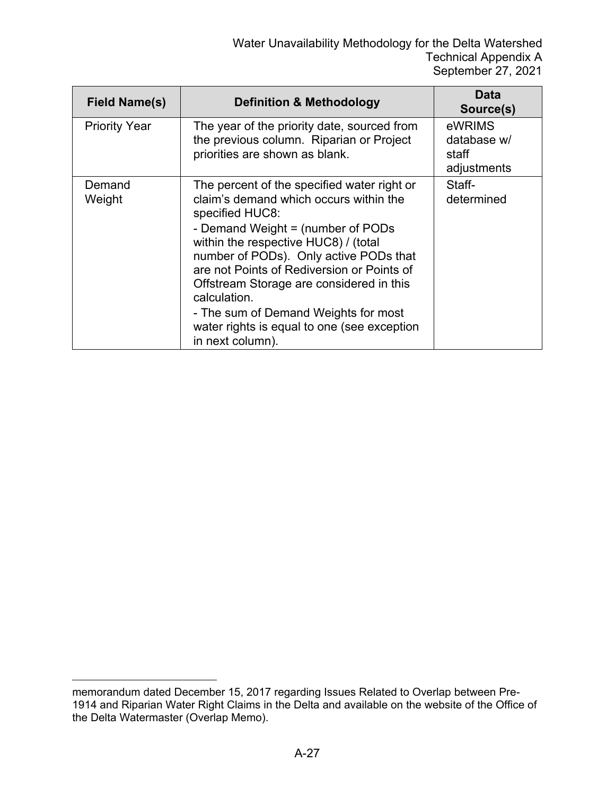| <b>Field Name(s)</b> | <b>Definition &amp; Methodology</b>                                                                                                                                                                                                                                                                                                                                                                                                                  | Data<br>Source(s)                             |
|----------------------|------------------------------------------------------------------------------------------------------------------------------------------------------------------------------------------------------------------------------------------------------------------------------------------------------------------------------------------------------------------------------------------------------------------------------------------------------|-----------------------------------------------|
| <b>Priority Year</b> | The year of the priority date, sourced from<br>the previous column. Riparian or Project<br>priorities are shown as blank.                                                                                                                                                                                                                                                                                                                            | eWRIMS<br>database w/<br>staff<br>adjustments |
| Demand<br>Weight     | The percent of the specified water right or<br>claim's demand which occurs within the<br>specified HUC8:<br>- Demand Weight = (number of PODs<br>within the respective HUC8) / (total<br>number of PODs). Only active PODs that<br>are not Points of Rediversion or Points of<br>Offstream Storage are considered in this<br>calculation.<br>- The sum of Demand Weights for most<br>water rights is equal to one (see exception<br>in next column). | Staff-<br>determined                          |

memorandum dated December 15, 2017 regarding Issues Related to Overlap between Pre-1914 and Riparian Water Right Claims in the Delta and available on the website of the Office of the Delta Watermaster (Overlap Memo).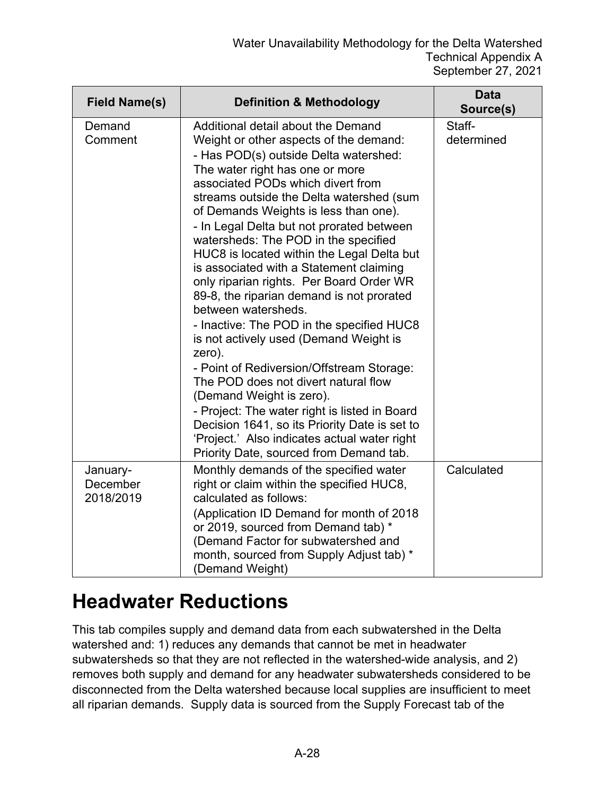| <b>Field Name(s)</b>              | <b>Definition &amp; Methodology</b>                                                                                                                                                                                                                                                                                                                                                                                                                                                                                                                                                                                                                                                                                                                                                                                                                                                                                                                                                             | <b>Data</b><br>Source(s) |
|-----------------------------------|-------------------------------------------------------------------------------------------------------------------------------------------------------------------------------------------------------------------------------------------------------------------------------------------------------------------------------------------------------------------------------------------------------------------------------------------------------------------------------------------------------------------------------------------------------------------------------------------------------------------------------------------------------------------------------------------------------------------------------------------------------------------------------------------------------------------------------------------------------------------------------------------------------------------------------------------------------------------------------------------------|--------------------------|
| Demand<br>Comment                 | Additional detail about the Demand<br>Weight or other aspects of the demand:<br>- Has POD(s) outside Delta watershed:<br>The water right has one or more<br>associated PODs which divert from<br>streams outside the Delta watershed (sum<br>of Demands Weights is less than one).<br>- In Legal Delta but not prorated between<br>watersheds: The POD in the specified<br>HUC8 is located within the Legal Delta but<br>is associated with a Statement claiming<br>only riparian rights. Per Board Order WR<br>89-8, the riparian demand is not prorated<br>between watersheds.<br>- Inactive: The POD in the specified HUC8<br>is not actively used (Demand Weight is<br>zero).<br>- Point of Rediversion/Offstream Storage:<br>The POD does not divert natural flow<br>(Demand Weight is zero).<br>- Project: The water right is listed in Board<br>Decision 1641, so its Priority Date is set to<br>'Project.' Also indicates actual water right<br>Priority Date, sourced from Demand tab. | Staff-<br>determined     |
| January-<br>December<br>2018/2019 | Monthly demands of the specified water<br>right or claim within the specified HUC8,<br>calculated as follows:<br>(Application ID Demand for month of 2018<br>or 2019, sourced from Demand tab) *<br>(Demand Factor for subwatershed and<br>month, sourced from Supply Adjust tab) *<br>(Demand Weight)                                                                                                                                                                                                                                                                                                                                                                                                                                                                                                                                                                                                                                                                                          | Calculated               |

### **Headwater Reductions**

This tab compiles supply and demand data from each subwatershed in the Delta watershed and: 1) reduces any demands that cannot be met in headwater subwatersheds so that they are not reflected in the watershed-wide analysis, and 2) removes both supply and demand for any headwater subwatersheds considered to be disconnected from the Delta watershed because local supplies are insufficient to meet all riparian demands. Supply data is sourced from the Supply Forecast tab of the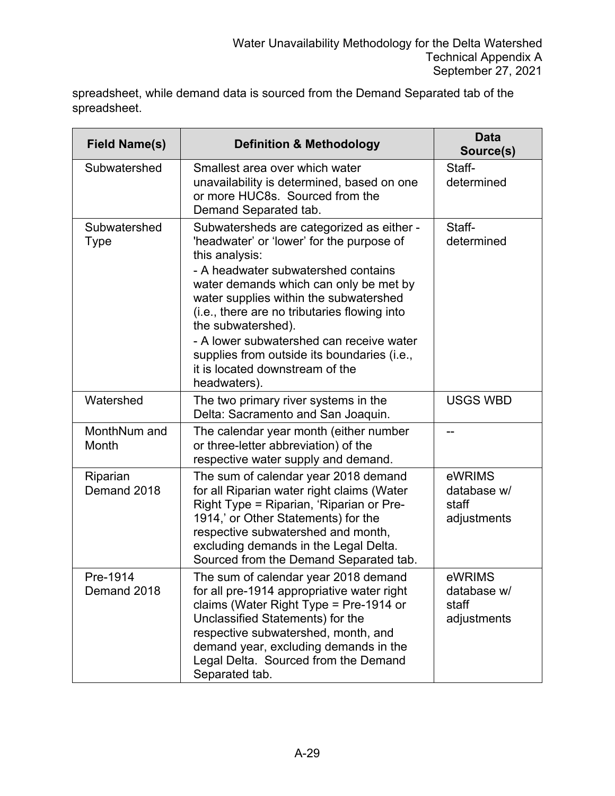spreadsheet, while demand data is sourced from the Demand Separated tab of the spreadsheet.

| <b>Field Name(s)</b>        | <b>Definition &amp; Methodology</b>                                                                                                                                                                                                                                                                                                                                                                                                                     | <b>Data</b><br>Source(s)                      |
|-----------------------------|---------------------------------------------------------------------------------------------------------------------------------------------------------------------------------------------------------------------------------------------------------------------------------------------------------------------------------------------------------------------------------------------------------------------------------------------------------|-----------------------------------------------|
| Subwatershed                | Smallest area over which water<br>unavailability is determined, based on one<br>or more HUC8s. Sourced from the<br>Demand Separated tab.                                                                                                                                                                                                                                                                                                                | Staff-<br>determined                          |
| Subwatershed<br><b>Type</b> | Subwatersheds are categorized as either -<br>'headwater' or 'lower' for the purpose of<br>this analysis:<br>- A headwater subwatershed contains<br>water demands which can only be met by<br>water supplies within the subwatershed<br>(i.e., there are no tributaries flowing into<br>the subwatershed).<br>- A lower subwatershed can receive water<br>supplies from outside its boundaries (i.e.,<br>it is located downstream of the<br>headwaters). | Staff-<br>determined                          |
| Watershed                   | The two primary river systems in the<br>Delta: Sacramento and San Joaquin.                                                                                                                                                                                                                                                                                                                                                                              | <b>USGS WBD</b>                               |
| MonthNum and<br>Month       | The calendar year month (either number<br>or three-letter abbreviation) of the<br>respective water supply and demand.                                                                                                                                                                                                                                                                                                                                   |                                               |
| Riparian<br>Demand 2018     | The sum of calendar year 2018 demand<br>for all Riparian water right claims (Water<br>Right Type = Riparian, 'Riparian or Pre-<br>1914,' or Other Statements) for the<br>respective subwatershed and month,<br>excluding demands in the Legal Delta.<br>Sourced from the Demand Separated tab.                                                                                                                                                          | eWRIMS<br>database w/<br>staff<br>adjustments |
| Pre-1914<br>Demand 2018     | The sum of calendar year 2018 demand<br>for all pre-1914 appropriative water right<br>claims (Water Right Type = Pre-1914 or<br>Unclassified Statements) for the<br>respective subwatershed, month, and<br>demand year, excluding demands in the<br>Legal Delta. Sourced from the Demand<br>Separated tab.                                                                                                                                              | eWRIMS<br>database w/<br>staff<br>adjustments |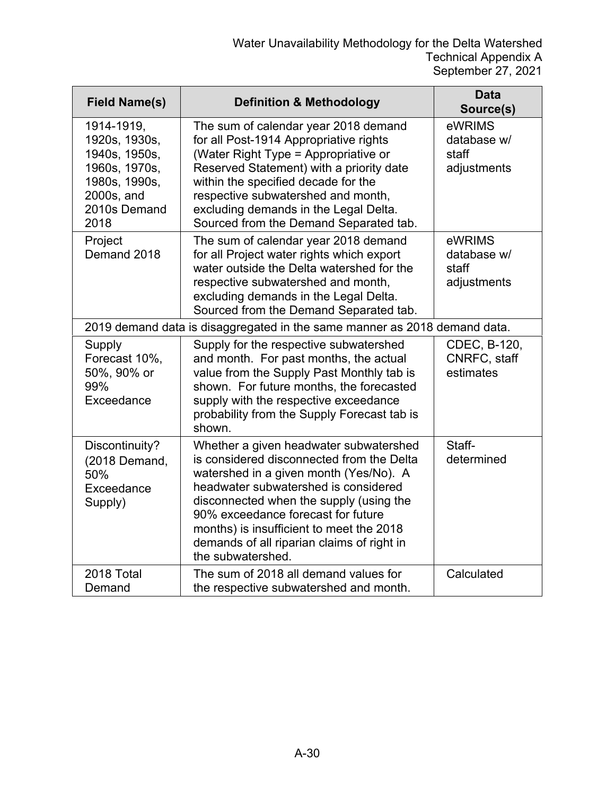| <b>Field Name(s)</b>                                                                                                 | <b>Definition &amp; Methodology</b>                                                                                                                                                                                                                                                                                                                                   | <b>Data</b><br>Source(s)                      |
|----------------------------------------------------------------------------------------------------------------------|-----------------------------------------------------------------------------------------------------------------------------------------------------------------------------------------------------------------------------------------------------------------------------------------------------------------------------------------------------------------------|-----------------------------------------------|
| 1914-1919,<br>1920s, 1930s,<br>1940s, 1950s,<br>1960s, 1970s,<br>1980s, 1990s,<br>2000s, and<br>2010s Demand<br>2018 | The sum of calendar year 2018 demand<br>for all Post-1914 Appropriative rights<br>(Water Right Type = Appropriative or<br>Reserved Statement) with a priority date<br>within the specified decade for the<br>respective subwatershed and month,<br>excluding demands in the Legal Delta.<br>Sourced from the Demand Separated tab.                                    | eWRIMS<br>database w/<br>staff<br>adjustments |
| Project<br>Demand 2018                                                                                               | The sum of calendar year 2018 demand<br>for all Project water rights which export<br>water outside the Delta watershed for the<br>respective subwatershed and month,<br>excluding demands in the Legal Delta.<br>Sourced from the Demand Separated tab.                                                                                                               | eWRIMS<br>database w/<br>staff<br>adjustments |
|                                                                                                                      | 2019 demand data is disaggregated in the same manner as 2018 demand data.                                                                                                                                                                                                                                                                                             |                                               |
| Supply<br>Forecast 10%,<br>50%, 90% or<br>99%<br>Exceedance                                                          | Supply for the respective subwatershed<br>and month. For past months, the actual<br>value from the Supply Past Monthly tab is<br>shown. For future months, the forecasted<br>supply with the respective exceedance<br>probability from the Supply Forecast tab is<br>shown.                                                                                           | CDEC, B-120,<br>CNRFC, staff<br>estimates     |
| Discontinuity?<br>(2018 Demand,<br>50%<br>Exceedance<br>Supply)                                                      | Whether a given headwater subwatershed<br>is considered disconnected from the Delta<br>watershed in a given month (Yes/No). A<br>headwater subwatershed is considered<br>disconnected when the supply (using the<br>90% exceedance forecast for future<br>months) is insufficient to meet the 2018<br>demands of all riparian claims of right in<br>the subwatershed. | Staff-<br>determined                          |
| 2018 Total<br>Demand                                                                                                 | The sum of 2018 all demand values for<br>the respective subwatershed and month.                                                                                                                                                                                                                                                                                       | Calculated                                    |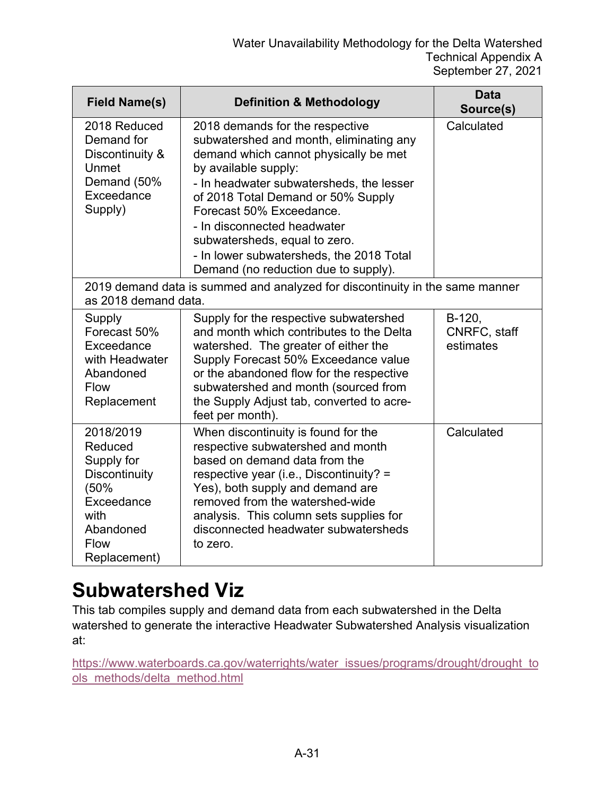| <b>Field Name(s)</b>                                                                                                                 | <b>Definition &amp; Methodology</b>                                                                                                                                                                                                                                                                                                                                                                           | <b>Data</b><br>Source(s)            |
|--------------------------------------------------------------------------------------------------------------------------------------|---------------------------------------------------------------------------------------------------------------------------------------------------------------------------------------------------------------------------------------------------------------------------------------------------------------------------------------------------------------------------------------------------------------|-------------------------------------|
| 2018 Reduced<br>Demand for<br>Discontinuity &<br>Unmet<br>Demand (50%<br>Exceedance<br>Supply)                                       | 2018 demands for the respective<br>subwatershed and month, eliminating any<br>demand which cannot physically be met<br>by available supply:<br>- In headwater subwatersheds, the lesser<br>of 2018 Total Demand or 50% Supply<br>Forecast 50% Exceedance.<br>- In disconnected headwater<br>subwatersheds, equal to zero.<br>- In lower subwatersheds, the 2018 Total<br>Demand (no reduction due to supply). | Calculated                          |
| as 2018 demand data.                                                                                                                 | 2019 demand data is summed and analyzed for discontinuity in the same manner                                                                                                                                                                                                                                                                                                                                  |                                     |
| Supply<br>Forecast 50%<br>Exceedance<br>with Headwater<br>Abandoned<br><b>Flow</b><br>Replacement                                    | Supply for the respective subwatershed<br>and month which contributes to the Delta<br>watershed. The greater of either the<br>Supply Forecast 50% Exceedance value<br>or the abandoned flow for the respective<br>subwatershed and month (sourced from<br>the Supply Adjust tab, converted to acre-<br>feet per month).                                                                                       | B-120,<br>CNRFC, staff<br>estimates |
| 2018/2019<br>Reduced<br>Supply for<br><b>Discontinuity</b><br>(50%<br>Exceedance<br>with<br>Abandoned<br><b>Flow</b><br>Replacement) | When discontinuity is found for the<br>respective subwatershed and month<br>based on demand data from the<br>respective year (i.e., Discontinuity? =<br>Yes), both supply and demand are<br>removed from the watershed-wide<br>analysis. This column sets supplies for<br>disconnected headwater subwatersheds<br>to zero.                                                                                    | Calculated                          |

### **Subwatershed Viz**

This tab compiles supply and demand data from each subwatershed in the Delta watershed to generate the interactive Headwater Subwatershed Analysis visualization at:

[https://www.waterboards.ca.gov/waterrights/water\\_issues/programs/drought/drought\\_to](https://www.waterboards.ca.gov/waterrights/water_issues/programs/drought/drought_tools_methods/delta_method.html) [ols\\_methods/delta\\_method.html](https://www.waterboards.ca.gov/waterrights/water_issues/programs/drought/drought_tools_methods/delta_method.html)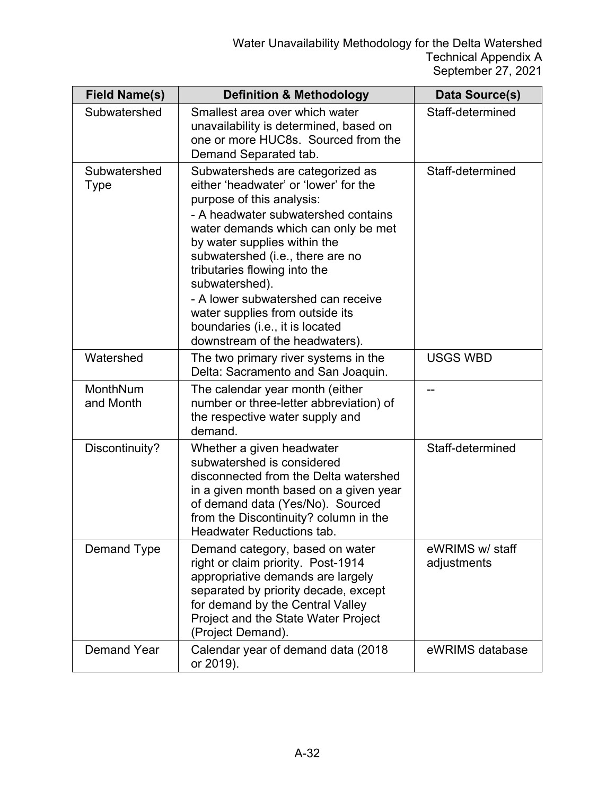| <b>Field Name(s)</b>  | <b>Definition &amp; Methodology</b>                                                                                                                                                                                                                                                                                                                                                                                                                      | Data Source(s)                 |
|-----------------------|----------------------------------------------------------------------------------------------------------------------------------------------------------------------------------------------------------------------------------------------------------------------------------------------------------------------------------------------------------------------------------------------------------------------------------------------------------|--------------------------------|
| Subwatershed          | Smallest area over which water<br>unavailability is determined, based on<br>one or more HUC8s. Sourced from the<br>Demand Separated tab.                                                                                                                                                                                                                                                                                                                 | Staff-determined               |
| Subwatershed<br>Type  | Subwatersheds are categorized as<br>either 'headwater' or 'lower' for the<br>purpose of this analysis:<br>- A headwater subwatershed contains<br>water demands which can only be met<br>by water supplies within the<br>subwatershed (i.e., there are no<br>tributaries flowing into the<br>subwatershed).<br>- A lower subwatershed can receive<br>water supplies from outside its<br>boundaries (i.e., it is located<br>downstream of the headwaters). | Staff-determined               |
| Watershed             | The two primary river systems in the<br>Delta: Sacramento and San Joaquin.                                                                                                                                                                                                                                                                                                                                                                               | <b>USGS WBD</b>                |
| MonthNum<br>and Month | The calendar year month (either<br>number or three-letter abbreviation) of<br>the respective water supply and<br>demand.                                                                                                                                                                                                                                                                                                                                 |                                |
| Discontinuity?        | Whether a given headwater<br>subwatershed is considered<br>disconnected from the Delta watershed<br>in a given month based on a given year<br>of demand data (Yes/No). Sourced<br>from the Discontinuity? column in the<br><b>Headwater Reductions tab.</b>                                                                                                                                                                                              | Staff-determined               |
| Demand Type           | Demand category, based on water<br>right or claim priority. Post-1914<br>appropriative demands are largely<br>separated by priority decade, except<br>for demand by the Central Valley<br>Project and the State Water Project<br>(Project Demand).                                                                                                                                                                                                       | eWRIMS w/ staff<br>adjustments |
| <b>Demand Year</b>    | Calendar year of demand data (2018)<br>or 2019).                                                                                                                                                                                                                                                                                                                                                                                                         | eWRIMS database                |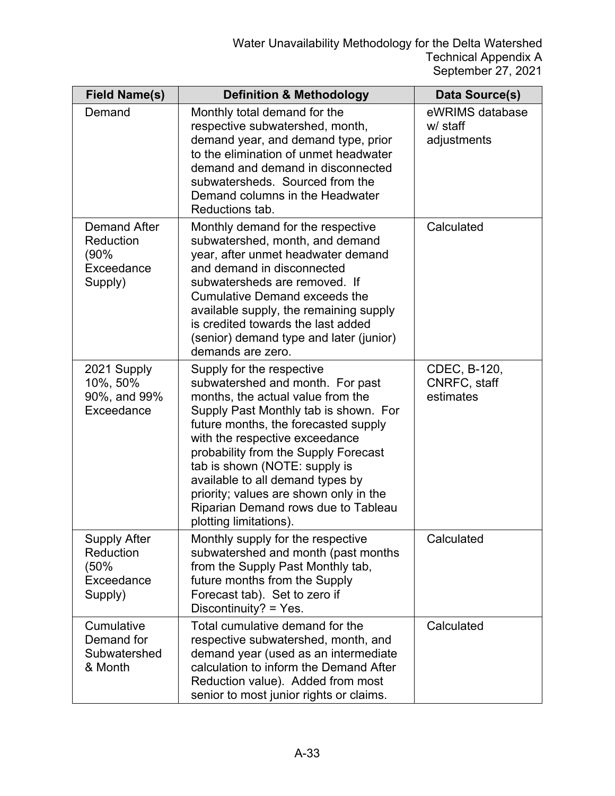| <b>Field Name(s)</b>                                              | <b>Definition &amp; Methodology</b>                                                                                                                                                                                                                                                                                                                                                                                                           | Data Source(s)                             |
|-------------------------------------------------------------------|-----------------------------------------------------------------------------------------------------------------------------------------------------------------------------------------------------------------------------------------------------------------------------------------------------------------------------------------------------------------------------------------------------------------------------------------------|--------------------------------------------|
| Demand                                                            | Monthly total demand for the<br>respective subwatershed, month,<br>demand year, and demand type, prior<br>to the elimination of unmet headwater<br>demand and demand in disconnected<br>subwatersheds. Sourced from the<br>Demand columns in the Headwater<br>Reductions tab.                                                                                                                                                                 | eWRIMS database<br>w/ staff<br>adjustments |
| <b>Demand After</b><br>Reduction<br>(90%<br>Exceedance<br>Supply) | Monthly demand for the respective<br>subwatershed, month, and demand<br>year, after unmet headwater demand<br>and demand in disconnected<br>subwatersheds are removed. If<br><b>Cumulative Demand exceeds the</b><br>available supply, the remaining supply<br>is credited towards the last added<br>(senior) demand type and later (junior)<br>demands are zero.                                                                             | Calculated                                 |
| 2021 Supply<br>10%, 50%<br>90%, and 99%<br>Exceedance             | Supply for the respective<br>subwatershed and month. For past<br>months, the actual value from the<br>Supply Past Monthly tab is shown. For<br>future months, the forecasted supply<br>with the respective exceedance<br>probability from the Supply Forecast<br>tab is shown (NOTE: supply is<br>available to all demand types by<br>priority; values are shown only in the<br>Riparian Demand rows due to Tableau<br>plotting limitations). | CDEC, B-120,<br>CNRFC, staff<br>estimates  |
| <b>Supply After</b><br>Reduction<br>(50%<br>Exceedance<br>Supply) | Monthly supply for the respective<br>subwatershed and month (past months<br>from the Supply Past Monthly tab,<br>future months from the Supply<br>Forecast tab). Set to zero if<br>Discontinuity? = Yes.                                                                                                                                                                                                                                      | Calculated                                 |
| Cumulative<br>Demand for<br>Subwatershed<br>& Month               | Total cumulative demand for the<br>respective subwatershed, month, and<br>demand year (used as an intermediate<br>calculation to inform the Demand After<br>Reduction value). Added from most<br>senior to most junior rights or claims.                                                                                                                                                                                                      | Calculated                                 |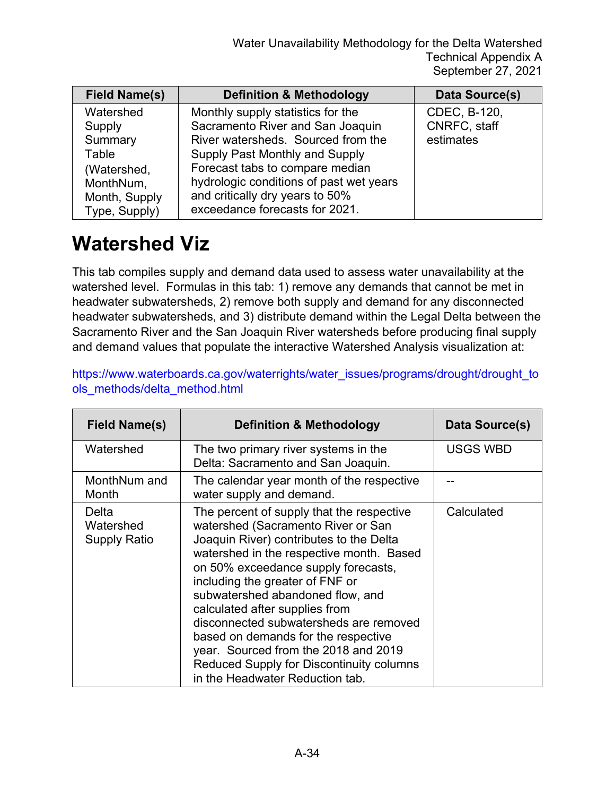| <b>Field Name(s)</b> | <b>Definition &amp; Methodology</b>     | Data Source(s) |
|----------------------|-----------------------------------------|----------------|
| Watershed            | Monthly supply statistics for the       | CDEC, B-120,   |
| Supply               | Sacramento River and San Joaquin        | CNRFC, staff   |
| Summary              | River watersheds. Sourced from the      | estimates      |
| Table                | Supply Past Monthly and Supply          |                |
| (Watershed,          | Forecast tabs to compare median         |                |
| MonthNum,            | hydrologic conditions of past wet years |                |
| Month, Supply        | and critically dry years to 50%         |                |
| Type, Supply)        | exceedance forecasts for 2021.          |                |

#### **Watershed Viz**

This tab compiles supply and demand data used to assess water unavailability at the watershed level. Formulas in this tab: 1) remove any demands that cannot be met in headwater subwatersheds, 2) remove both supply and demand for any disconnected headwater subwatersheds, and 3) distribute demand within the Legal Delta between the Sacramento River and the San Joaquin River watersheds before producing final supply and demand values that populate the interactive Watershed Analysis visualization at:

| Field Name(s)                             | <b>Definition &amp; Methodology</b>                                                                                                                                                                                                                                                                                                                                                                                                                                                                                            | Data Source(s) |
|-------------------------------------------|--------------------------------------------------------------------------------------------------------------------------------------------------------------------------------------------------------------------------------------------------------------------------------------------------------------------------------------------------------------------------------------------------------------------------------------------------------------------------------------------------------------------------------|----------------|
| Watershed                                 | The two primary river systems in the<br>Delta: Sacramento and San Joaquin.                                                                                                                                                                                                                                                                                                                                                                                                                                                     | USGS WBD       |
| MonthNum and<br>Month                     | The calendar year month of the respective<br>water supply and demand.                                                                                                                                                                                                                                                                                                                                                                                                                                                          |                |
| Delta<br>Watershed<br><b>Supply Ratio</b> | The percent of supply that the respective<br>watershed (Sacramento River or San<br>Joaquin River) contributes to the Delta<br>watershed in the respective month. Based<br>on 50% exceedance supply forecasts,<br>including the greater of FNF or<br>subwatershed abandoned flow, and<br>calculated after supplies from<br>disconnected subwatersheds are removed<br>based on demands for the respective<br>year. Sourced from the 2018 and 2019<br>Reduced Supply for Discontinuity columns<br>in the Headwater Reduction tab. | Calculated     |

[https://www.waterboards.ca.gov/waterrights/water\\_issues/programs/drought/drought\\_to](https://www.waterboards.ca.gov/waterrights/water_issues/programs/drought/drought_tools_methods/delta_method.html) [ols\\_methods/delta\\_method.html](https://www.waterboards.ca.gov/waterrights/water_issues/programs/drought/drought_tools_methods/delta_method.html)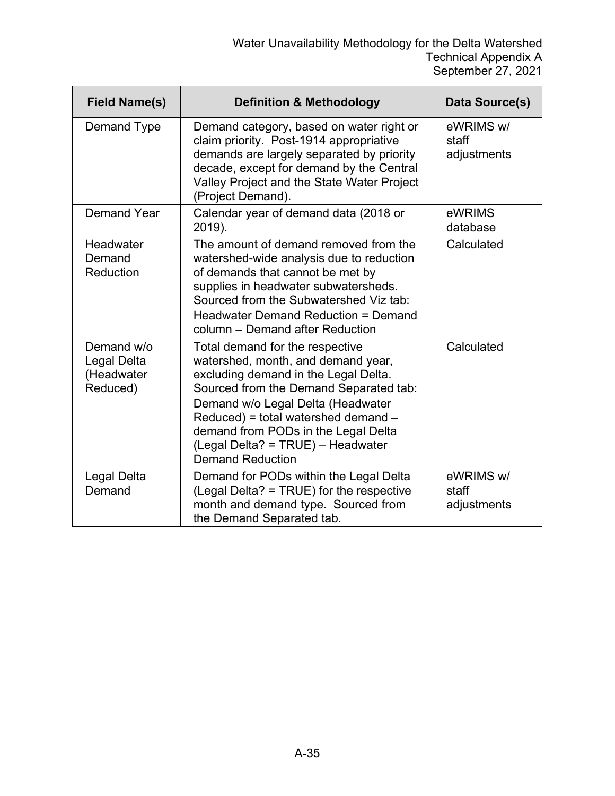| <b>Field Name(s)</b>                                       | <b>Definition &amp; Methodology</b>                                                                                                                                                                                                                                                                                                        | Data Source(s)                    |
|------------------------------------------------------------|--------------------------------------------------------------------------------------------------------------------------------------------------------------------------------------------------------------------------------------------------------------------------------------------------------------------------------------------|-----------------------------------|
| Demand Type                                                | Demand category, based on water right or<br>claim priority. Post-1914 appropriative<br>demands are largely separated by priority<br>decade, except for demand by the Central<br>Valley Project and the State Water Project<br>(Project Demand).                                                                                            | eWRIMS w/<br>staff<br>adjustments |
| <b>Demand Year</b>                                         | Calendar year of demand data (2018 or<br>2019).                                                                                                                                                                                                                                                                                            | eWRIMS<br>database                |
| Headwater<br>Demand<br>Reduction                           | The amount of demand removed from the<br>watershed-wide analysis due to reduction<br>of demands that cannot be met by<br>supplies in headwater subwatersheds.<br>Sourced from the Subwatershed Viz tab:<br>Headwater Demand Reduction = Demand<br>column - Demand after Reduction                                                          | Calculated                        |
| Demand w/o<br><b>Legal Delta</b><br>(Headwater<br>Reduced) | Total demand for the respective<br>watershed, month, and demand year,<br>excluding demand in the Legal Delta.<br>Sourced from the Demand Separated tab:<br>Demand w/o Legal Delta (Headwater<br>Reduced) = total watershed demand -<br>demand from PODs in the Legal Delta<br>(Legal Delta? = TRUE) - Headwater<br><b>Demand Reduction</b> | Calculated                        |
| Legal Delta<br>Demand                                      | Demand for PODs within the Legal Delta<br>(Legal Delta? = TRUE) for the respective<br>month and demand type. Sourced from<br>the Demand Separated tab.                                                                                                                                                                                     | eWRIMS w/<br>staff<br>adjustments |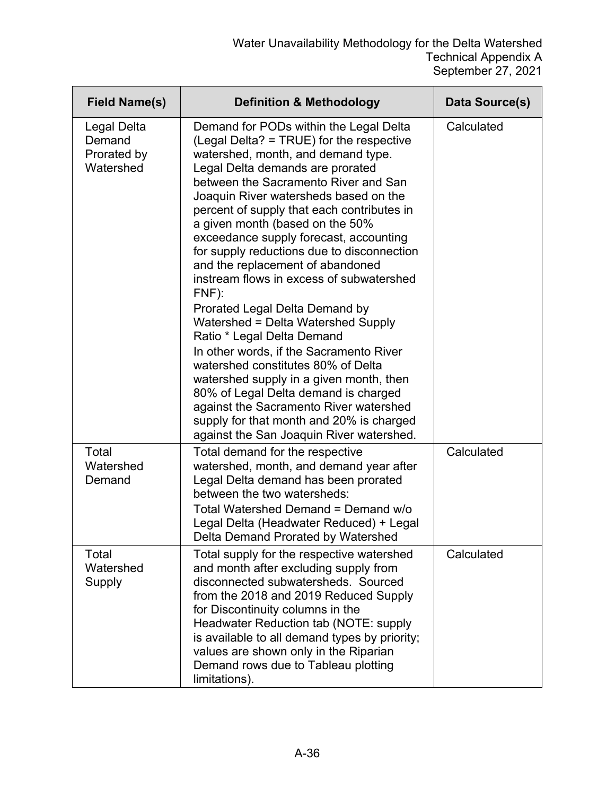| <b>Field Name(s)</b>                              | <b>Definition &amp; Methodology</b>                                                                                                                                                                                                                                                                                                                                                                                                                                                                                                                                                                                                                                                                                                                                                                                                                                                                                            | Data Source(s) |
|---------------------------------------------------|--------------------------------------------------------------------------------------------------------------------------------------------------------------------------------------------------------------------------------------------------------------------------------------------------------------------------------------------------------------------------------------------------------------------------------------------------------------------------------------------------------------------------------------------------------------------------------------------------------------------------------------------------------------------------------------------------------------------------------------------------------------------------------------------------------------------------------------------------------------------------------------------------------------------------------|----------------|
| Legal Delta<br>Demand<br>Prorated by<br>Watershed | Demand for PODs within the Legal Delta<br>(Legal Delta? = TRUE) for the respective<br>watershed, month, and demand type.<br>Legal Delta demands are prorated<br>between the Sacramento River and San<br>Joaquin River watersheds based on the<br>percent of supply that each contributes in<br>a given month (based on the 50%<br>exceedance supply forecast, accounting<br>for supply reductions due to disconnection<br>and the replacement of abandoned<br>instream flows in excess of subwatershed<br>$FNF$ ):<br>Prorated Legal Delta Demand by<br>Watershed = Delta Watershed Supply<br>Ratio * Legal Delta Demand<br>In other words, if the Sacramento River<br>watershed constitutes 80% of Delta<br>watershed supply in a given month, then<br>80% of Legal Delta demand is charged<br>against the Sacramento River watershed<br>supply for that month and 20% is charged<br>against the San Joaquin River watershed. | Calculated     |
| Total<br>Watershed<br>Demand                      | Total demand for the respective<br>watershed, month, and demand year after<br>Legal Delta demand has been prorated<br>between the two watersheds:<br>Total Watershed Demand = Demand w/o<br>Legal Delta (Headwater Reduced) + Legal<br>Delta Demand Prorated by Watershed                                                                                                                                                                                                                                                                                                                                                                                                                                                                                                                                                                                                                                                      | Calculated     |
| Total<br>Watershed<br>Supply                      | Total supply for the respective watershed<br>and month after excluding supply from<br>disconnected subwatersheds. Sourced<br>from the 2018 and 2019 Reduced Supply<br>for Discontinuity columns in the<br>Headwater Reduction tab (NOTE: supply<br>is available to all demand types by priority;<br>values are shown only in the Riparian<br>Demand rows due to Tableau plotting<br>limitations).                                                                                                                                                                                                                                                                                                                                                                                                                                                                                                                              | Calculated     |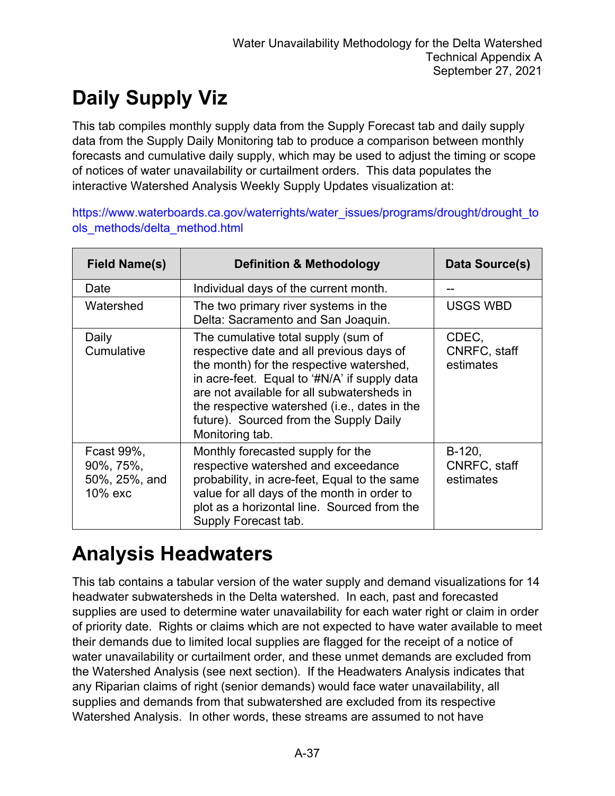## **Daily Supply Viz**

This tab compiles monthly supply data from the Supply Forecast tab and daily supply data from the Supply Daily Monitoring tab to produce a comparison between monthly forecasts and cumulative daily supply, which may be used to adjust the timing or scope of notices of water unavailability or curtailment orders. This data populates the interactive Watershed Analysis Weekly Supply Updates visualization at:

[https://www.waterboards.ca.gov/waterrights/water\\_issues/programs/drought/drought\\_to](https://www.waterboards.ca.gov/waterrights/water_issues/programs/drought/drought_tools_methods/delta_method.html) [ols\\_methods/delta\\_method.html](https://www.waterboards.ca.gov/waterrights/water_issues/programs/drought/drought_tools_methods/delta_method.html)

| <b>Field Name(s)</b>                                | <b>Definition &amp; Methodology</b>                                                                                                                                                                                                                                                                                                    | Data Source(s)                      |
|-----------------------------------------------------|----------------------------------------------------------------------------------------------------------------------------------------------------------------------------------------------------------------------------------------------------------------------------------------------------------------------------------------|-------------------------------------|
| Date                                                | Individual days of the current month.                                                                                                                                                                                                                                                                                                  |                                     |
| Watershed                                           | The two primary river systems in the<br>Delta: Sacramento and San Joaquin.                                                                                                                                                                                                                                                             | <b>USGS WBD</b>                     |
| Daily<br>Cumulative                                 | The cumulative total supply (sum of<br>respective date and all previous days of<br>the month) for the respective watershed,<br>in acre-feet. Equal to '#N/A' if supply data<br>are not available for all subwatersheds in<br>the respective watershed (i.e., dates in the<br>future). Sourced from the Supply Daily<br>Monitoring tab. | CDEC,<br>CNRFC, staff<br>estimates  |
| Fcast 99%,<br>90%, 75%,<br>50%, 25%, and<br>10% exc | Monthly forecasted supply for the<br>respective watershed and exceedance<br>probability, in acre-feet, Equal to the same<br>value for all days of the month in order to<br>plot as a horizontal line. Sourced from the<br>Supply Forecast tab.                                                                                         | B-120,<br>CNRFC, staff<br>estimates |

#### **Analysis Headwaters**

This tab contains a tabular version of the water supply and demand visualizations for 14 headwater subwatersheds in the Delta watershed. In each, past and forecasted supplies are used to determine water unavailability for each water right or claim in order of priority date. Rights or claims which are not expected to have water available to meet their demands due to limited local supplies are flagged for the receipt of a notice of water unavailability or curtailment order, and these unmet demands are excluded from the Watershed Analysis (see next section). If the Headwaters Analysis indicates that any Riparian claims of right (senior demands) would face water unavailability, all supplies and demands from that subwatershed are excluded from its respective Watershed Analysis. In other words, these streams are assumed to not have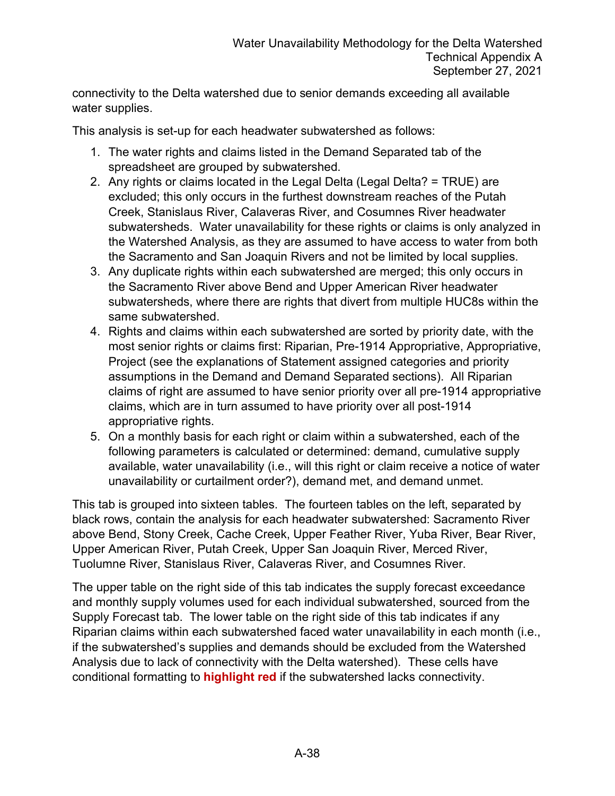connectivity to the Delta watershed due to senior demands exceeding all available water supplies.

This analysis is set-up for each headwater subwatershed as follows:

- 1. The water rights and claims listed in the Demand Separated tab of the spreadsheet are grouped by subwatershed.
- 2. Any rights or claims located in the Legal Delta (Legal Delta? = TRUE) are excluded; this only occurs in the furthest downstream reaches of the Putah Creek, Stanislaus River, Calaveras River, and Cosumnes River headwater subwatersheds. Water unavailability for these rights or claims is only analyzed in the Watershed Analysis, as they are assumed to have access to water from both the Sacramento and San Joaquin Rivers and not be limited by local supplies.
- 3. Any duplicate rights within each subwatershed are merged; this only occurs in the Sacramento River above Bend and Upper American River headwater subwatersheds, where there are rights that divert from multiple HUC8s within the same subwatershed.
- 4. Rights and claims within each subwatershed are sorted by priority date, with the most senior rights or claims first: Riparian, Pre-1914 Appropriative, Appropriative, Project (see the explanations of Statement assigned categories and priority assumptions in the Demand and Demand Separated sections). All Riparian claims of right are assumed to have senior priority over all pre-1914 appropriative claims, which are in turn assumed to have priority over all post-1914 appropriative rights.
- 5. On a monthly basis for each right or claim within a subwatershed, each of the following parameters is calculated or determined: demand, cumulative supply available, water unavailability (i.e., will this right or claim receive a notice of water unavailability or curtailment order?), demand met, and demand unmet.

This tab is grouped into sixteen tables. The fourteen tables on the left, separated by black rows, contain the analysis for each headwater subwatershed: Sacramento River above Bend, Stony Creek, Cache Creek, Upper Feather River, Yuba River, Bear River, Upper American River, Putah Creek, Upper San Joaquin River, Merced River, Tuolumne River, Stanislaus River, Calaveras River, and Cosumnes River.

The upper table on the right side of this tab indicates the supply forecast exceedance and monthly supply volumes used for each individual subwatershed, sourced from the Supply Forecast tab. The lower table on the right side of this tab indicates if any Riparian claims within each subwatershed faced water unavailability in each month (i.e., if the subwatershed's supplies and demands should be excluded from the Watershed Analysis due to lack of connectivity with the Delta watershed). These cells have conditional formatting to **highlight red** if the subwatershed lacks connectivity.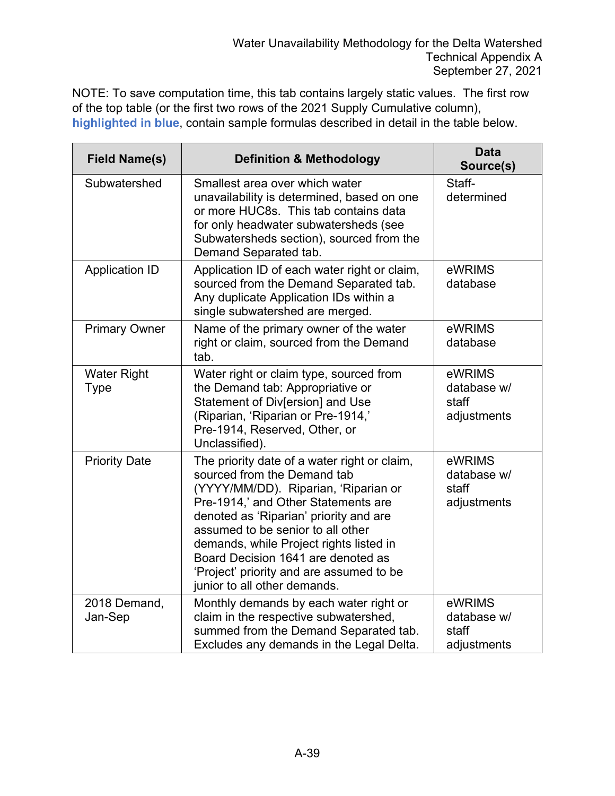NOTE: To save computation time, this tab contains largely static values. The first row of the top table (or the first two rows of the 2021 Supply Cumulative column), **highlighted in blue**, contain sample formulas described in detail in the table below.

| <b>Field Name(s)</b>              | <b>Definition &amp; Methodology</b>                                                                                                                                                                                                                                                                                                                                                                    | <b>Data</b><br>Source(s)                      |
|-----------------------------------|--------------------------------------------------------------------------------------------------------------------------------------------------------------------------------------------------------------------------------------------------------------------------------------------------------------------------------------------------------------------------------------------------------|-----------------------------------------------|
| Subwatershed                      | Smallest area over which water<br>unavailability is determined, based on one<br>or more HUC8s. This tab contains data<br>for only headwater subwatersheds (see<br>Subwatersheds section), sourced from the<br>Demand Separated tab.                                                                                                                                                                    | Staff-<br>determined                          |
| <b>Application ID</b>             | Application ID of each water right or claim,<br>sourced from the Demand Separated tab.<br>Any duplicate Application IDs within a<br>single subwatershed are merged.                                                                                                                                                                                                                                    | eWRIMS<br>database                            |
| <b>Primary Owner</b>              | Name of the primary owner of the water<br>right or claim, sourced from the Demand<br>tab.                                                                                                                                                                                                                                                                                                              | eWRIMS<br>database                            |
| <b>Water Right</b><br><b>Type</b> | Water right or claim type, sourced from<br>the Demand tab: Appropriative or<br>Statement of Div[ersion] and Use<br>(Riparian, 'Riparian or Pre-1914,'<br>Pre-1914, Reserved, Other, or<br>Unclassified).                                                                                                                                                                                               | eWRIMS<br>database w/<br>staff<br>adjustments |
| <b>Priority Date</b>              | The priority date of a water right or claim,<br>sourced from the Demand tab<br>(YYYY/MM/DD). Riparian, 'Riparian or<br>Pre-1914,' and Other Statements are<br>denoted as 'Riparian' priority and are<br>assumed to be senior to all other<br>demands, while Project rights listed in<br>Board Decision 1641 are denoted as<br>'Project' priority and are assumed to be<br>junior to all other demands. | eWRIMS<br>database w/<br>staff<br>adjustments |
| 2018 Demand,<br>Jan-Sep           | Monthly demands by each water right or<br>claim in the respective subwatershed,<br>summed from the Demand Separated tab.<br>Excludes any demands in the Legal Delta.                                                                                                                                                                                                                                   | eWRIMS<br>database w/<br>staff<br>adjustments |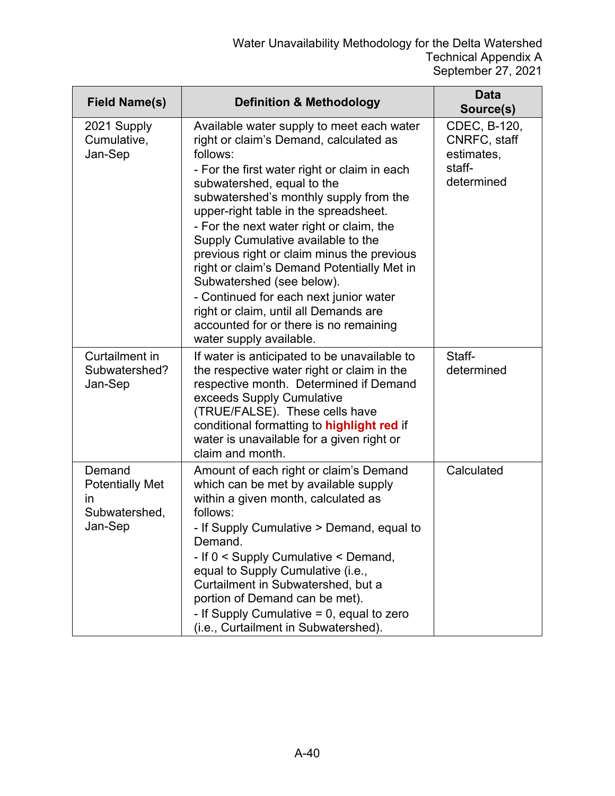| <b>Field Name(s)</b>                                               | <b>Definition &amp; Methodology</b>                                                                                                                                                                                                                                                                                                                                                                                                                                                                                                                                                                                                 | <b>Data</b><br>Source(s)                                           |
|--------------------------------------------------------------------|-------------------------------------------------------------------------------------------------------------------------------------------------------------------------------------------------------------------------------------------------------------------------------------------------------------------------------------------------------------------------------------------------------------------------------------------------------------------------------------------------------------------------------------------------------------------------------------------------------------------------------------|--------------------------------------------------------------------|
| 2021 Supply<br>Cumulative,<br>Jan-Sep                              | Available water supply to meet each water<br>right or claim's Demand, calculated as<br>follows:<br>- For the first water right or claim in each<br>subwatershed, equal to the<br>subwatershed's monthly supply from the<br>upper-right table in the spreadsheet.<br>- For the next water right or claim, the<br>Supply Cumulative available to the<br>previous right or claim minus the previous<br>right or claim's Demand Potentially Met in<br>Subwatershed (see below).<br>- Continued for each next junior water<br>right or claim, until all Demands are<br>accounted for or there is no remaining<br>water supply available. | CDEC, B-120,<br>CNRFC, staff<br>estimates,<br>staff-<br>determined |
| Curtailment in<br>Subwatershed?<br>Jan-Sep                         | If water is anticipated to be unavailable to<br>the respective water right or claim in the<br>respective month. Determined if Demand<br>exceeds Supply Cumulative<br>(TRUE/FALSE). These cells have<br>conditional formatting to highlight red if<br>water is unavailable for a given right or<br>claim and month.                                                                                                                                                                                                                                                                                                                  | Staff-<br>determined                                               |
| Demand<br><b>Potentially Met</b><br>in<br>Subwatershed,<br>Jan-Sep | Amount of each right or claim's Demand<br>which can be met by available supply<br>within a given month, calculated as<br>follows:<br>- If Supply Cumulative > Demand, equal to<br>Demand.<br>- If 0 < Supply Cumulative < Demand,<br>equal to Supply Cumulative (i.e.,<br>Curtailment in Subwatershed, but a<br>portion of Demand can be met).<br>- If Supply Cumulative $= 0$ , equal to zero<br>(i.e., Curtailment in Subwatershed).                                                                                                                                                                                              | Calculated                                                         |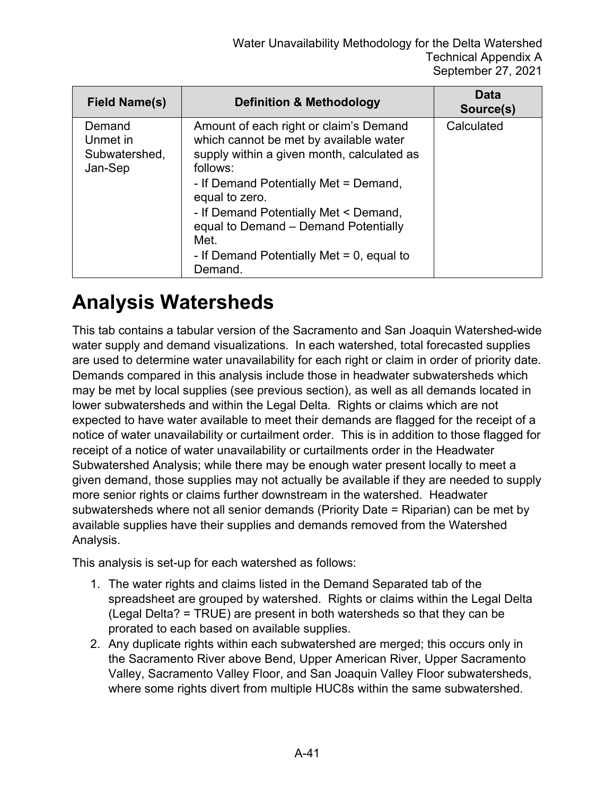| <b>Field Name(s)</b>                           | <b>Definition &amp; Methodology</b>                                                                                                                                                                                                                                                                                                                       | Data<br>Source(s) |
|------------------------------------------------|-----------------------------------------------------------------------------------------------------------------------------------------------------------------------------------------------------------------------------------------------------------------------------------------------------------------------------------------------------------|-------------------|
| Demand<br>Unmet in<br>Subwatershed,<br>Jan-Sep | Amount of each right or claim's Demand<br>which cannot be met by available water<br>supply within a given month, calculated as<br>follows:<br>- If Demand Potentially Met = Demand,<br>equal to zero.<br>- If Demand Potentially Met < Demand,<br>equal to Demand - Demand Potentially<br>Met.<br>- If Demand Potentially Met $= 0$ , equal to<br>Demand. | Calculated        |

#### **Analysis Watersheds**

This tab contains a tabular version of the Sacramento and San Joaquin Watershed-wide water supply and demand visualizations. In each watershed, total forecasted supplies are used to determine water unavailability for each right or claim in order of priority date. Demands compared in this analysis include those in headwater subwatersheds which may be met by local supplies (see previous section), as well as all demands located in lower subwatersheds and within the Legal Delta. Rights or claims which are not expected to have water available to meet their demands are flagged for the receipt of a notice of water unavailability or curtailment order. This is in addition to those flagged for receipt of a notice of water unavailability or curtailments order in the Headwater Subwatershed Analysis; while there may be enough water present locally to meet a given demand, those supplies may not actually be available if they are needed to supply more senior rights or claims further downstream in the watershed. Headwater subwatersheds where not all senior demands (Priority Date = Riparian) can be met by available supplies have their supplies and demands removed from the Watershed Analysis.

This analysis is set-up for each watershed as follows:

- 1. The water rights and claims listed in the Demand Separated tab of the spreadsheet are grouped by watershed. Rights or claims within the Legal Delta (Legal Delta? = TRUE) are present in both watersheds so that they can be prorated to each based on available supplies.
- 2. Any duplicate rights within each subwatershed are merged; this occurs only in the Sacramento River above Bend, Upper American River, Upper Sacramento Valley, Sacramento Valley Floor, and San Joaquin Valley Floor subwatersheds, where some rights divert from multiple HUC8s within the same subwatershed.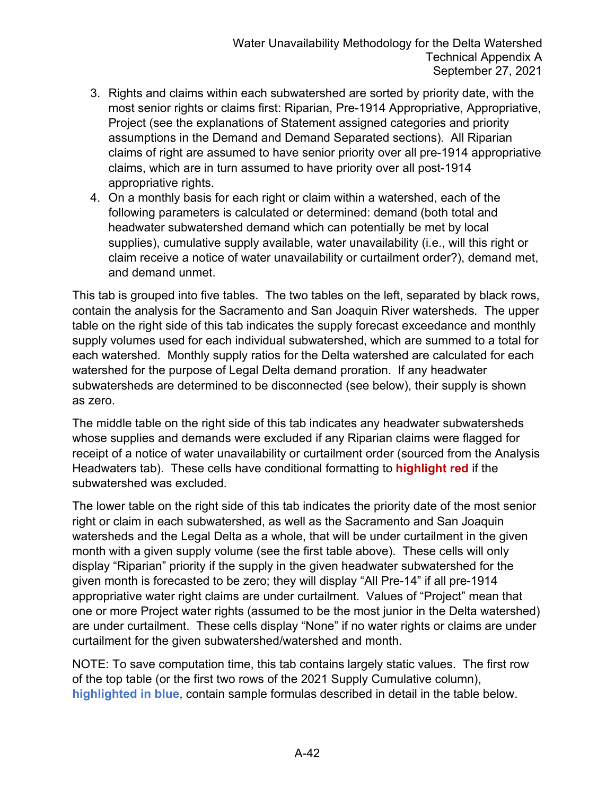- 3. Rights and claims within each subwatershed are sorted by priority date, with the most senior rights or claims first: Riparian, Pre-1914 Appropriative, Appropriative, Project (see the explanations of Statement assigned categories and priority assumptions in the Demand and Demand Separated sections). All Riparian claims of right are assumed to have senior priority over all pre-1914 appropriative claims, which are in turn assumed to have priority over all post-1914 appropriative rights.
- 4. On a monthly basis for each right or claim within a watershed, each of the following parameters is calculated or determined: demand (both total and headwater subwatershed demand which can potentially be met by local supplies), cumulative supply available, water unavailability (i.e., will this right or claim receive a notice of water unavailability or curtailment order?), demand met, and demand unmet.

This tab is grouped into five tables. The two tables on the left, separated by black rows, contain the analysis for the Sacramento and San Joaquin River watersheds. The upper table on the right side of this tab indicates the supply forecast exceedance and monthly supply volumes used for each individual subwatershed, which are summed to a total for each watershed. Monthly supply ratios for the Delta watershed are calculated for each watershed for the purpose of Legal Delta demand proration. If any headwater subwatersheds are determined to be disconnected (see below), their supply is shown as zero.

The middle table on the right side of this tab indicates any headwater subwatersheds whose supplies and demands were excluded if any Riparian claims were flagged for receipt of a notice of water unavailability or curtailment order (sourced from the Analysis Headwaters tab). These cells have conditional formatting to **highlight red** if the subwatershed was excluded.

The lower table on the right side of this tab indicates the priority date of the most senior right or claim in each subwatershed, as well as the Sacramento and San Joaquin watersheds and the Legal Delta as a whole, that will be under curtailment in the given month with a given supply volume (see the first table above). These cells will only display "Riparian" priority if the supply in the given headwater subwatershed for the given month is forecasted to be zero; they will display "All Pre-14" if all pre-1914 appropriative water right claims are under curtailment. Values of "Project" mean that one or more Project water rights (assumed to be the most junior in the Delta watershed) are under curtailment. These cells display "None" if no water rights or claims are under curtailment for the given subwatershed/watershed and month.

NOTE: To save computation time, this tab contains largely static values. The first row of the top table (or the first two rows of the 2021 Supply Cumulative column), **highlighted in blue**, contain sample formulas described in detail in the table below.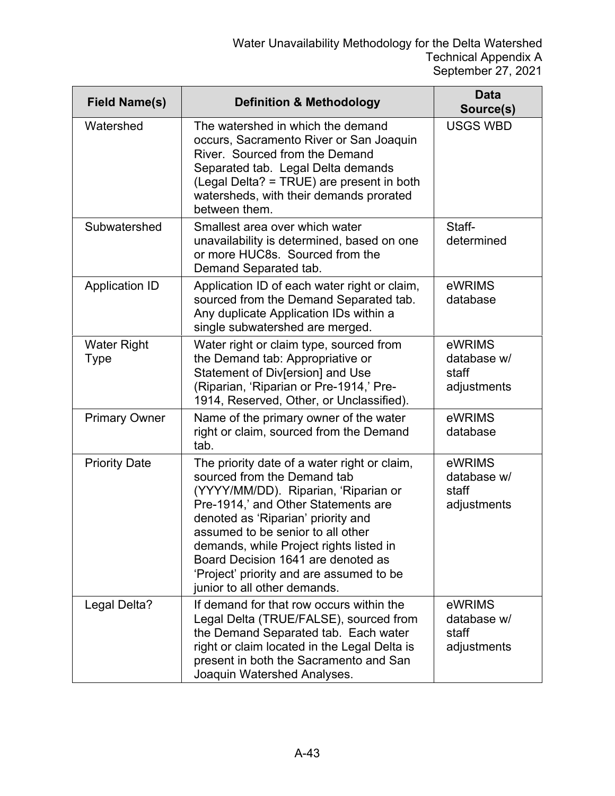| <b>Field Name(s)</b>       | <b>Definition &amp; Methodology</b>                                                                                                                                                                                                                                                                                                                                                                | <b>Data</b><br>Source(s)                      |
|----------------------------|----------------------------------------------------------------------------------------------------------------------------------------------------------------------------------------------------------------------------------------------------------------------------------------------------------------------------------------------------------------------------------------------------|-----------------------------------------------|
| Watershed                  | The watershed in which the demand<br>occurs, Sacramento River or San Joaquin<br>River. Sourced from the Demand<br>Separated tab. Legal Delta demands<br>(Legal Delta? = TRUE) are present in both<br>watersheds, with their demands prorated<br>between them.                                                                                                                                      | <b>USGS WBD</b>                               |
| Subwatershed               | Smallest area over which water<br>unavailability is determined, based on one<br>or more HUC8s. Sourced from the<br>Demand Separated tab.                                                                                                                                                                                                                                                           | Staff-<br>determined                          |
| <b>Application ID</b>      | Application ID of each water right or claim,<br>sourced from the Demand Separated tab.<br>Any duplicate Application IDs within a<br>single subwatershed are merged.                                                                                                                                                                                                                                | eWRIMS<br>database                            |
| <b>Water Right</b><br>Type | Water right or claim type, sourced from<br>the Demand tab: Appropriative or<br>Statement of Div[ersion] and Use<br>(Riparian, 'Riparian or Pre-1914,' Pre-<br>1914, Reserved, Other, or Unclassified).                                                                                                                                                                                             | eWRIMS<br>database w/<br>staff<br>adjustments |
| <b>Primary Owner</b>       | Name of the primary owner of the water<br>right or claim, sourced from the Demand<br>tab.                                                                                                                                                                                                                                                                                                          | eWRIMS<br>database                            |
| <b>Priority Date</b>       | The priority date of a water right or claim,<br>sourced from the Demand tab<br>(YYYY/MM/DD). Riparian, 'Riparian or<br>Pre-1914,' and Other Statements are<br>denoted as 'Riparian' priority and<br>assumed to be senior to all other<br>demands, while Project rights listed in<br>Board Decision 1641 are denoted as<br>'Project' priority and are assumed to be<br>junior to all other demands. | eWRIMS<br>database w/<br>staff<br>adjustments |
| Legal Delta?               | If demand for that row occurs within the<br>Legal Delta (TRUE/FALSE), sourced from<br>the Demand Separated tab. Each water<br>right or claim located in the Legal Delta is<br>present in both the Sacramento and San<br>Joaquin Watershed Analyses.                                                                                                                                                | eWRIMS<br>database w/<br>staff<br>adjustments |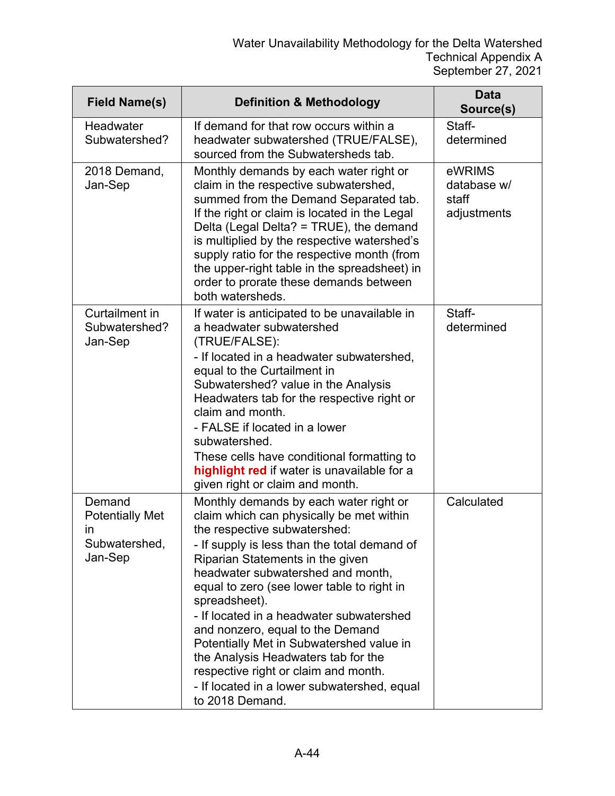| <b>Field Name(s)</b>                                               | <b>Definition &amp; Methodology</b>                                                                                                                                                                                                                                                                                                                                                                                                                                                                                                                                                     | <b>Data</b><br>Source(s)                      |
|--------------------------------------------------------------------|-----------------------------------------------------------------------------------------------------------------------------------------------------------------------------------------------------------------------------------------------------------------------------------------------------------------------------------------------------------------------------------------------------------------------------------------------------------------------------------------------------------------------------------------------------------------------------------------|-----------------------------------------------|
| Headwater<br>Subwatershed?                                         | If demand for that row occurs within a<br>headwater subwatershed (TRUE/FALSE),<br>sourced from the Subwatersheds tab.                                                                                                                                                                                                                                                                                                                                                                                                                                                                   | Staff-<br>determined                          |
| 2018 Demand,<br>Jan-Sep                                            | Monthly demands by each water right or<br>claim in the respective subwatershed,<br>summed from the Demand Separated tab.<br>If the right or claim is located in the Legal<br>Delta (Legal Delta? = TRUE), the demand<br>is multiplied by the respective watershed's<br>supply ratio for the respective month (from<br>the upper-right table in the spreadsheet) in<br>order to prorate these demands between<br>both watersheds.                                                                                                                                                        | eWRIMS<br>database w/<br>staff<br>adjustments |
| Curtailment in<br>Subwatershed?<br>Jan-Sep                         | If water is anticipated to be unavailable in<br>a headwater subwatershed<br>(TRUE/FALSE):<br>- If located in a headwater subwatershed,<br>equal to the Curtailment in<br>Subwatershed? value in the Analysis<br>Headwaters tab for the respective right or<br>claim and month.<br>- FALSE if located in a lower<br>subwatershed.<br>These cells have conditional formatting to<br>highlight red if water is unavailable for a<br>given right or claim and month.                                                                                                                        | Staff-<br>determined                          |
| Demand<br><b>Potentially Met</b><br>in<br>Subwatershed,<br>Jan-Sep | Monthly demands by each water right or<br>claim which can physically be met within<br>the respective subwatershed:<br>- If supply is less than the total demand of<br>Riparian Statements in the given<br>headwater subwatershed and month,<br>equal to zero (see lower table to right in<br>spreadsheet).<br>- If located in a headwater subwatershed<br>and nonzero, equal to the Demand<br>Potentially Met in Subwatershed value in<br>the Analysis Headwaters tab for the<br>respective right or claim and month.<br>- If located in a lower subwatershed, equal<br>to 2018 Demand. | Calculated                                    |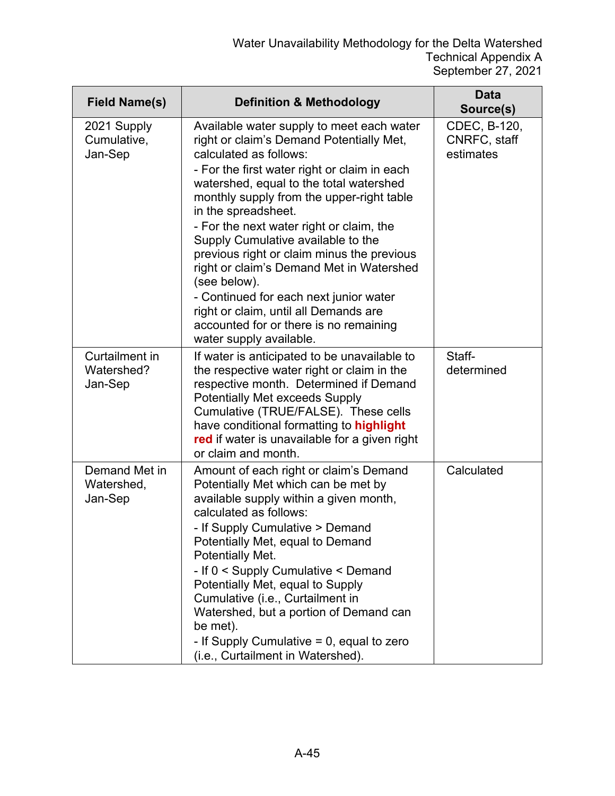| <b>Field Name(s)</b>                    | <b>Definition &amp; Methodology</b>                                                                                                                                                                                                                                                                                                                                                                                                                                                                                                                                                                                                | <b>Data</b><br>Source(s)                  |
|-----------------------------------------|------------------------------------------------------------------------------------------------------------------------------------------------------------------------------------------------------------------------------------------------------------------------------------------------------------------------------------------------------------------------------------------------------------------------------------------------------------------------------------------------------------------------------------------------------------------------------------------------------------------------------------|-------------------------------------------|
| 2021 Supply<br>Cumulative,<br>Jan-Sep   | Available water supply to meet each water<br>right or claim's Demand Potentially Met,<br>calculated as follows:<br>- For the first water right or claim in each<br>watershed, equal to the total watershed<br>monthly supply from the upper-right table<br>in the spreadsheet.<br>- For the next water right or claim, the<br>Supply Cumulative available to the<br>previous right or claim minus the previous<br>right or claim's Demand Met in Watershed<br>(see below).<br>- Continued for each next junior water<br>right or claim, until all Demands are<br>accounted for or there is no remaining<br>water supply available. | CDEC, B-120,<br>CNRFC, staff<br>estimates |
| Curtailment in<br>Watershed?<br>Jan-Sep | If water is anticipated to be unavailable to<br>the respective water right or claim in the<br>respective month. Determined if Demand<br><b>Potentially Met exceeds Supply</b><br>Cumulative (TRUE/FALSE). These cells<br>have conditional formatting to highlight<br>red if water is unavailable for a given right<br>or claim and month.                                                                                                                                                                                                                                                                                          | Staff-<br>determined                      |
| Demand Met in<br>Watershed,<br>Jan-Sep  | Amount of each right or claim's Demand<br>Potentially Met which can be met by<br>available supply within a given month,<br>calculated as follows:<br>- If Supply Cumulative > Demand<br>Potentially Met, equal to Demand<br><b>Potentially Met.</b><br>- If 0 < Supply Cumulative < Demand<br>Potentially Met, equal to Supply<br>Cumulative (i.e., Curtailment in<br>Watershed, but a portion of Demand can<br>be met).<br>- If Supply Cumulative $= 0$ , equal to zero<br>(i.e., Curtailment in Watershed).                                                                                                                      | Calculated                                |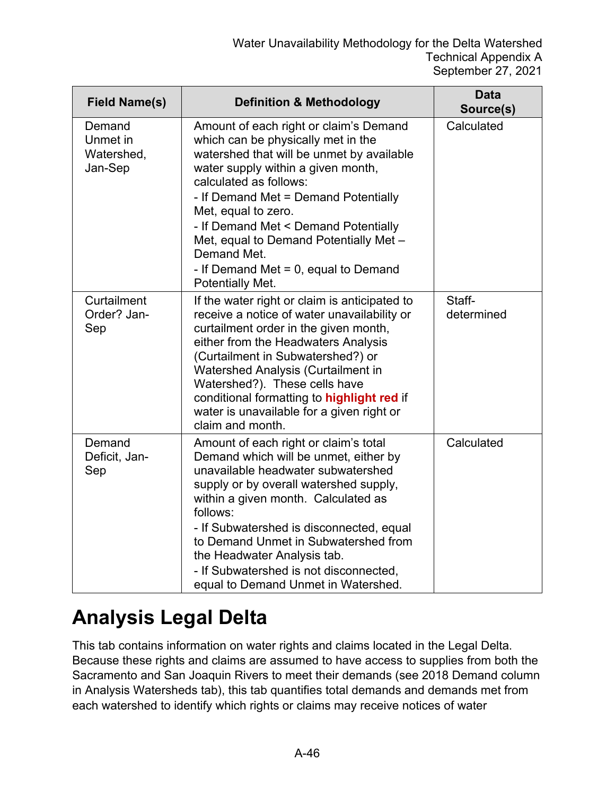| <b>Field Name(s)</b>                        | <b>Definition &amp; Methodology</b>                                                                                                                                                                                                                                                                                                                                                                                      | <b>Data</b><br>Source(s) |
|---------------------------------------------|--------------------------------------------------------------------------------------------------------------------------------------------------------------------------------------------------------------------------------------------------------------------------------------------------------------------------------------------------------------------------------------------------------------------------|--------------------------|
| Demand<br>Unmet in<br>Watershed,<br>Jan-Sep | Amount of each right or claim's Demand<br>which can be physically met in the<br>watershed that will be unmet by available<br>water supply within a given month,<br>calculated as follows:<br>- If Demand Met = Demand Potentially<br>Met, equal to zero.<br>- If Demand Met < Demand Potentially<br>Met, equal to Demand Potentially Met -<br>Demand Met.<br>- If Demand Met = $0$ , equal to Demand<br>Potentially Met. | Calculated               |
| Curtailment<br>Order? Jan-<br>Sep           | If the water right or claim is anticipated to<br>receive a notice of water unavailability or<br>curtailment order in the given month,<br>either from the Headwaters Analysis<br>(Curtailment in Subwatershed?) or<br>Watershed Analysis (Curtailment in<br>Watershed?). These cells have<br>conditional formatting to highlight red if<br>water is unavailable for a given right or<br>claim and month.                  | Staff-<br>determined     |
| Demand<br>Deficit, Jan-<br>Sep              | Amount of each right or claim's total<br>Demand which will be unmet, either by<br>unavailable headwater subwatershed<br>supply or by overall watershed supply,<br>within a given month. Calculated as<br>follows:<br>- If Subwatershed is disconnected, equal<br>to Demand Unmet in Subwatershed from<br>the Headwater Analysis tab.<br>- If Subwatershed is not disconnected,<br>equal to Demand Unmet in Watershed.    | Calculated               |

### **Analysis Legal Delta**

This tab contains information on water rights and claims located in the Legal Delta. Because these rights and claims are assumed to have access to supplies from both the Sacramento and San Joaquin Rivers to meet their demands (see 2018 Demand column in Analysis Watersheds tab), this tab quantifies total demands and demands met from each watershed to identify which rights or claims may receive notices of water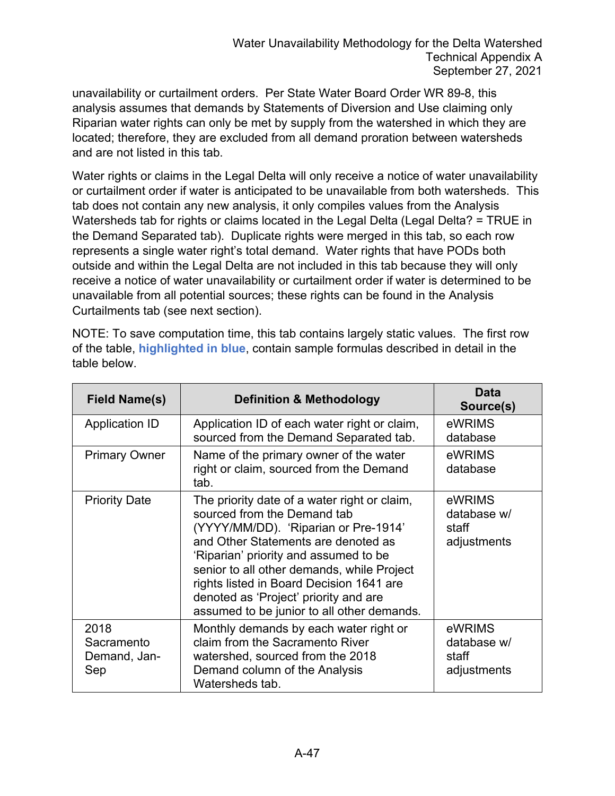unavailability or curtailment orders. Per State Water Board Order WR 89-8, this analysis assumes that demands by Statements of Diversion and Use claiming only Riparian water rights can only be met by supply from the watershed in which they are located; therefore, they are excluded from all demand proration between watersheds and are not listed in this tab.

Water rights or claims in the Legal Delta will only receive a notice of water unavailability or curtailment order if water is anticipated to be unavailable from both watersheds. This tab does not contain any new analysis, it only compiles values from the Analysis Watersheds tab for rights or claims located in the Legal Delta (Legal Delta? = TRUE in the Demand Separated tab). Duplicate rights were merged in this tab, so each row represents a single water right's total demand. Water rights that have PODs both outside and within the Legal Delta are not included in this tab because they will only receive a notice of water unavailability or curtailment order if water is determined to be unavailable from all potential sources; these rights can be found in the Analysis Curtailments tab (see next section).

NOTE: To save computation time, this tab contains largely static values. The first row of the table, **highlighted in blue**, contain sample formulas described in detail in the table below.

| <b>Field Name(s)</b>                      | <b>Definition &amp; Methodology</b>                                                                                                                                                                                                                                                                                                                                                  | Data<br>Source(s)                             |
|-------------------------------------------|--------------------------------------------------------------------------------------------------------------------------------------------------------------------------------------------------------------------------------------------------------------------------------------------------------------------------------------------------------------------------------------|-----------------------------------------------|
| Application ID                            | Application ID of each water right or claim,<br>sourced from the Demand Separated tab.                                                                                                                                                                                                                                                                                               | eWRIMS<br>database                            |
| <b>Primary Owner</b>                      | Name of the primary owner of the water<br>right or claim, sourced from the Demand<br>tab.                                                                                                                                                                                                                                                                                            | eWRIMS<br>database                            |
| <b>Priority Date</b>                      | The priority date of a water right or claim,<br>sourced from the Demand tab<br>(YYYY/MM/DD). 'Riparian or Pre-1914'<br>and Other Statements are denoted as<br>'Riparian' priority and assumed to be<br>senior to all other demands, while Project<br>rights listed in Board Decision 1641 are<br>denoted as 'Project' priority and are<br>assumed to be junior to all other demands. | eWRIMS<br>database w/<br>staff<br>adjustments |
| 2018<br>Sacramento<br>Demand, Jan-<br>Sep | Monthly demands by each water right or<br>claim from the Sacramento River<br>watershed, sourced from the 2018<br>Demand column of the Analysis<br>Watersheds tab.                                                                                                                                                                                                                    | eWRIMS<br>database w/<br>staff<br>adjustments |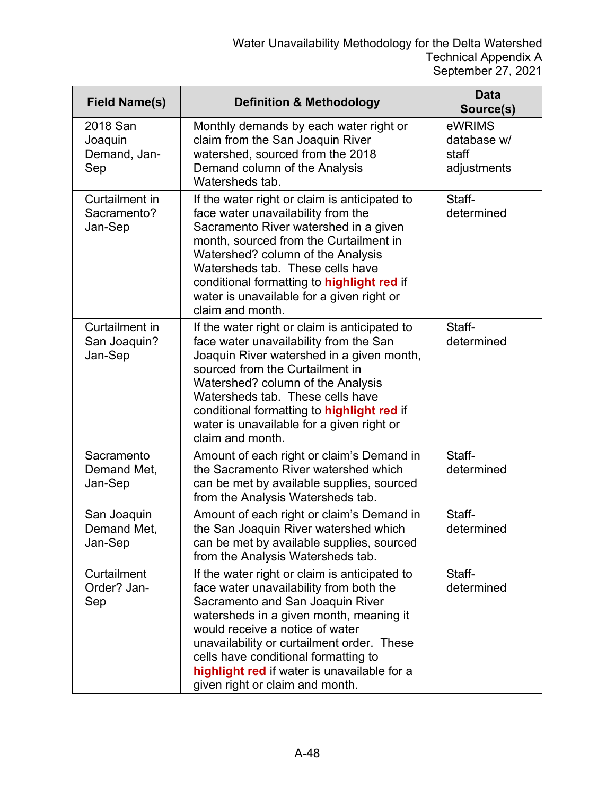| <b>Field Name(s)</b>                       | <b>Definition &amp; Methodology</b>                                                                                                                                                                                                                                                                                                                                                | <b>Data</b><br>Source(s)                      |
|--------------------------------------------|------------------------------------------------------------------------------------------------------------------------------------------------------------------------------------------------------------------------------------------------------------------------------------------------------------------------------------------------------------------------------------|-----------------------------------------------|
| 2018 San<br>Joaquin<br>Demand, Jan-<br>Sep | Monthly demands by each water right or<br>claim from the San Joaquin River<br>watershed, sourced from the 2018<br>Demand column of the Analysis<br>Watersheds tab.                                                                                                                                                                                                                 | eWRIMS<br>database w/<br>staff<br>adjustments |
| Curtailment in<br>Sacramento?<br>Jan-Sep   | If the water right or claim is anticipated to<br>face water unavailability from the<br>Sacramento River watershed in a given<br>month, sourced from the Curtailment in<br>Watershed? column of the Analysis<br>Watersheds tab. These cells have<br>conditional formatting to highlight red if<br>water is unavailable for a given right or<br>claim and month.                     | Staff-<br>determined                          |
| Curtailment in<br>San Joaquin?<br>Jan-Sep  | If the water right or claim is anticipated to<br>face water unavailability from the San<br>Joaquin River watershed in a given month,<br>sourced from the Curtailment in<br>Watershed? column of the Analysis<br>Watersheds tab. These cells have<br>conditional formatting to highlight red if<br>water is unavailable for a given right or<br>claim and month.                    | Staff-<br>determined                          |
| Sacramento<br>Demand Met,<br>Jan-Sep       | Amount of each right or claim's Demand in<br>the Sacramento River watershed which<br>can be met by available supplies, sourced<br>from the Analysis Watersheds tab.                                                                                                                                                                                                                | Staff-<br>determined                          |
| San Joaquin<br>Demand Met,<br>Jan-Sep      | Amount of each right or claim's Demand in<br>the San Joaquin River watershed which<br>can be met by available supplies, sourced<br>from the Analysis Watersheds tab.                                                                                                                                                                                                               | Staff-<br>determined                          |
| Curtailment<br>Order? Jan-<br>Sep          | If the water right or claim is anticipated to<br>face water unavailability from both the<br>Sacramento and San Joaquin River<br>watersheds in a given month, meaning it<br>would receive a notice of water<br>unavailability or curtailment order. These<br>cells have conditional formatting to<br>highlight red if water is unavailable for a<br>given right or claim and month. | Staff-<br>determined                          |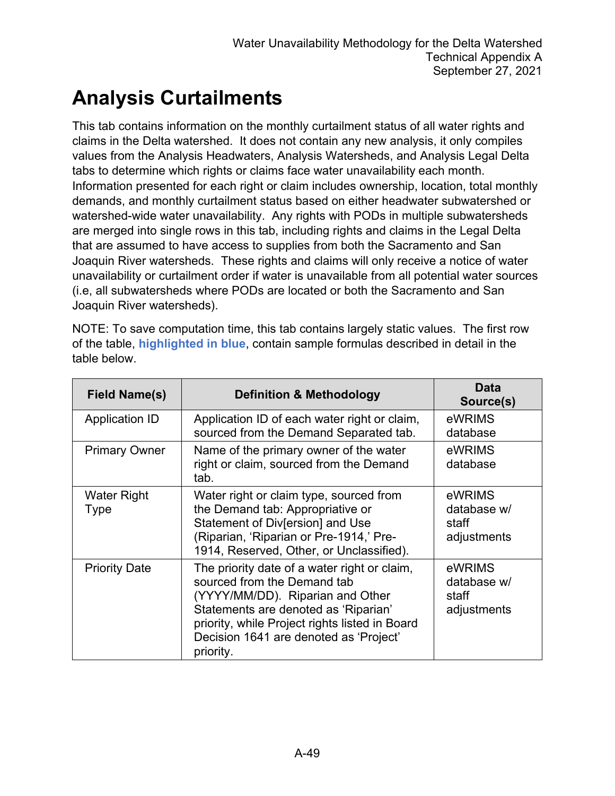### **Analysis Curtailments**

This tab contains information on the monthly curtailment status of all water rights and claims in the Delta watershed. It does not contain any new analysis, it only compiles values from the Analysis Headwaters, Analysis Watersheds, and Analysis Legal Delta tabs to determine which rights or claims face water unavailability each month. Information presented for each right or claim includes ownership, location, total monthly demands, and monthly curtailment status based on either headwater subwatershed or watershed-wide water unavailability. Any rights with PODs in multiple subwatersheds are merged into single rows in this tab, including rights and claims in the Legal Delta that are assumed to have access to supplies from both the Sacramento and San Joaquin River watersheds. These rights and claims will only receive a notice of water unavailability or curtailment order if water is unavailable from all potential water sources (i.e, all subwatersheds where PODs are located or both the Sacramento and San Joaquin River watersheds).

NOTE: To save computation time, this tab contains largely static values. The first row of the table, **highlighted in blue**, contain sample formulas described in detail in the table below.

| <b>Field Name(s)</b>  | <b>Definition &amp; Methodology</b>                                                                                                                                                                                                                              | Data<br>Source(s)                             |
|-----------------------|------------------------------------------------------------------------------------------------------------------------------------------------------------------------------------------------------------------------------------------------------------------|-----------------------------------------------|
| <b>Application ID</b> | Application ID of each water right or claim,<br>sourced from the Demand Separated tab.                                                                                                                                                                           | eWRIMS<br>database                            |
| <b>Primary Owner</b>  | Name of the primary owner of the water<br>right or claim, sourced from the Demand<br>tab.                                                                                                                                                                        | eWRIMS<br>database                            |
| Water Right<br>Type   | Water right or claim type, sourced from<br>the Demand tab: Appropriative or<br>Statement of Div[ersion] and Use<br>(Riparian, 'Riparian or Pre-1914,' Pre-<br>1914, Reserved, Other, or Unclassified).                                                           | eWRIMS<br>database w/<br>staff<br>adjustments |
| <b>Priority Date</b>  | The priority date of a water right or claim,<br>sourced from the Demand tab<br>(YYYY/MM/DD). Riparian and Other<br>Statements are denoted as 'Riparian'<br>priority, while Project rights listed in Board<br>Decision 1641 are denoted as 'Project'<br>priority. | eWRIMS<br>database w/<br>staff<br>adjustments |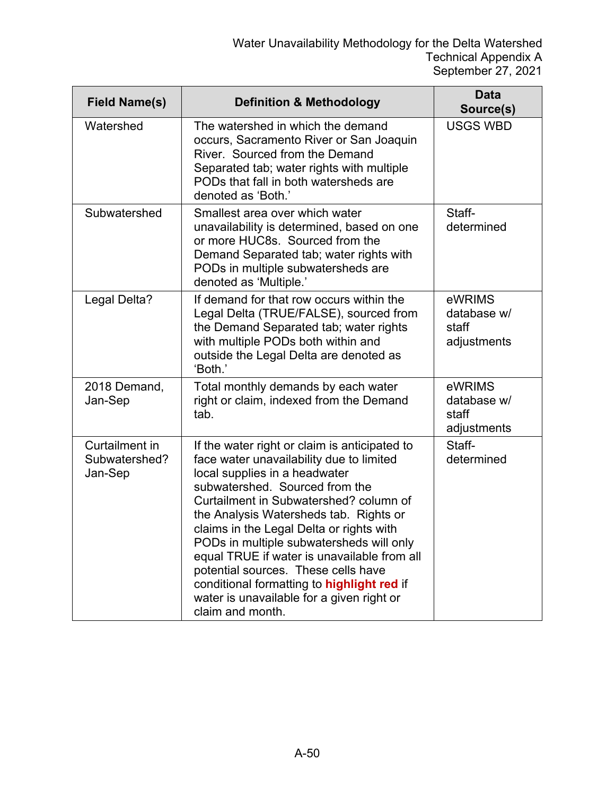| <b>Field Name(s)</b>                       | <b>Definition &amp; Methodology</b>                                                                                                                                                                                                                                                                                                                                                                                                                                                                                                           | <b>Data</b><br>Source(s)                      |
|--------------------------------------------|-----------------------------------------------------------------------------------------------------------------------------------------------------------------------------------------------------------------------------------------------------------------------------------------------------------------------------------------------------------------------------------------------------------------------------------------------------------------------------------------------------------------------------------------------|-----------------------------------------------|
| Watershed                                  | The watershed in which the demand<br>occurs, Sacramento River or San Joaquin<br>River. Sourced from the Demand<br>Separated tab; water rights with multiple<br>PODs that fall in both watersheds are<br>denoted as 'Both.'                                                                                                                                                                                                                                                                                                                    | <b>USGS WBD</b>                               |
| Subwatershed                               | Smallest area over which water<br>unavailability is determined, based on one<br>or more HUC8s. Sourced from the<br>Demand Separated tab; water rights with<br>PODs in multiple subwatersheds are<br>denoted as 'Multiple.'                                                                                                                                                                                                                                                                                                                    | Staff-<br>determined                          |
| Legal Delta?                               | If demand for that row occurs within the<br>Legal Delta (TRUE/FALSE), sourced from<br>the Demand Separated tab; water rights<br>with multiple PODs both within and<br>outside the Legal Delta are denoted as<br>'Both.'                                                                                                                                                                                                                                                                                                                       | eWRIMS<br>database w/<br>staff<br>adjustments |
| 2018 Demand,<br>Jan-Sep                    | Total monthly demands by each water<br>right or claim, indexed from the Demand<br>tab.                                                                                                                                                                                                                                                                                                                                                                                                                                                        | eWRIMS<br>database w/<br>staff<br>adjustments |
| Curtailment in<br>Subwatershed?<br>Jan-Sep | If the water right or claim is anticipated to<br>face water unavailability due to limited<br>local supplies in a headwater<br>subwatershed. Sourced from the<br>Curtailment in Subwatershed? column of<br>the Analysis Watersheds tab. Rights or<br>claims in the Legal Delta or rights with<br>PODs in multiple subwatersheds will only<br>equal TRUE if water is unavailable from all<br>potential sources. These cells have<br>conditional formatting to highlight red if<br>water is unavailable for a given right or<br>claim and month. | Staff-<br>determined                          |